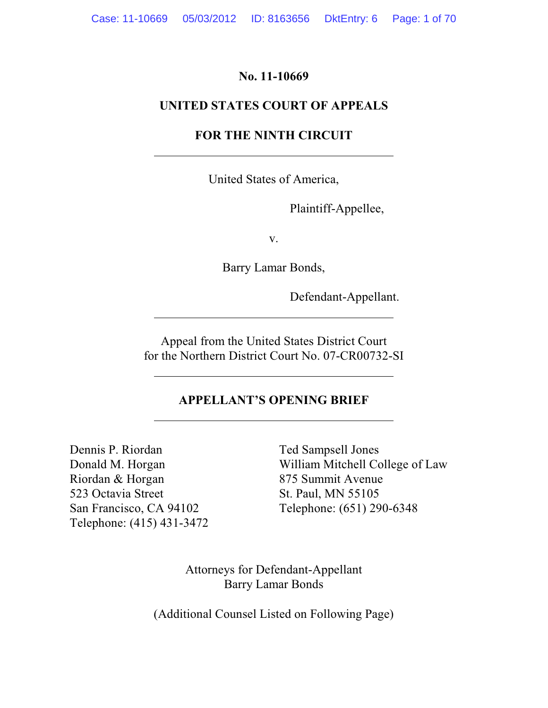#### **No. 11-10669**

#### **UNITED STATES COURT OF APPEALS**

### **FOR THE NINTH CIRCUIT**

United States of America,

Plaintiff-Appellee,

v.

Barry Lamar Bonds,

Defendant-Appellant.

Appeal from the United States District Court for the Northern District Court No. 07-CR00732-SI

## **APPELLANT'S OPENING BRIEF**

Dennis P. Riordan Donald M. Horgan Riordan & Horgan 523 Octavia Street San Francisco, CA 94102 Telephone: (415) 431-3472

 $\overline{a}$ 

Ted Sampsell Jones William Mitchell College of Law 875 Summit Avenue St. Paul, MN 55105 Telephone: (651) 290-6348

Attorneys for Defendant-Appellant Barry Lamar Bonds

(Additional Counsel Listed on Following Page)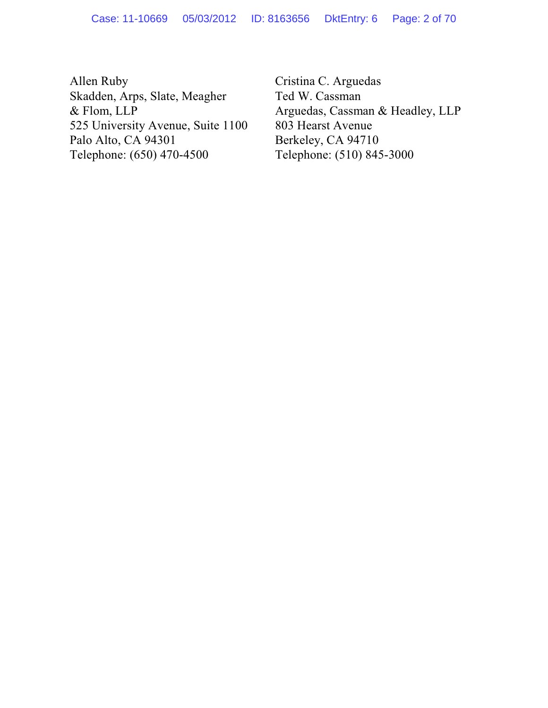Allen Ruby Skadden, Arps, Slate, Meagher & Flom, LLP 525 University Avenue, Suite 1100 Palo Alto, CA 94301 Telephone: (650) 470-4500

Cristina C. Arguedas Ted W. Cassman Arguedas, Cassman & Headley, LLP 803 Hearst Avenue Berkeley, CA 94710 Telephone: (510) 845-3000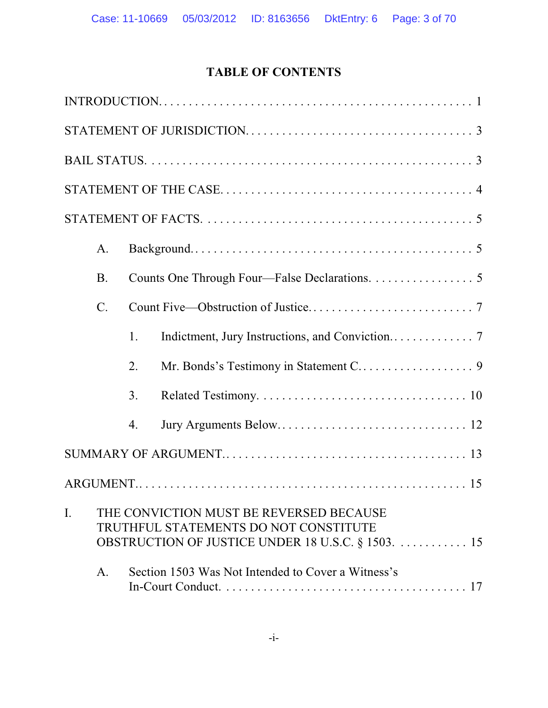# **TABLE OF CONTENTS**

|    | A.        |                                               |                                                                                                                                       |  |
|----|-----------|-----------------------------------------------|---------------------------------------------------------------------------------------------------------------------------------------|--|
|    | <b>B.</b> | Counts One Through Four-False Declarations. 5 |                                                                                                                                       |  |
|    | $C$ .     |                                               |                                                                                                                                       |  |
|    |           | 1.                                            |                                                                                                                                       |  |
|    |           | 2.                                            |                                                                                                                                       |  |
|    |           | 3.                                            |                                                                                                                                       |  |
|    |           | 4.                                            |                                                                                                                                       |  |
|    |           |                                               |                                                                                                                                       |  |
|    |           |                                               |                                                                                                                                       |  |
| I. |           |                                               | THE CONVICTION MUST BE REVERSED BECAUSE<br>TRUTHFUL STATEMENTS DO NOT CONSTITUTE<br>OBSTRUCTION OF JUSTICE UNDER 18 U.S.C. § 1503. 15 |  |
|    | А.        |                                               | Section 1503 Was Not Intended to Cover a Witness's                                                                                    |  |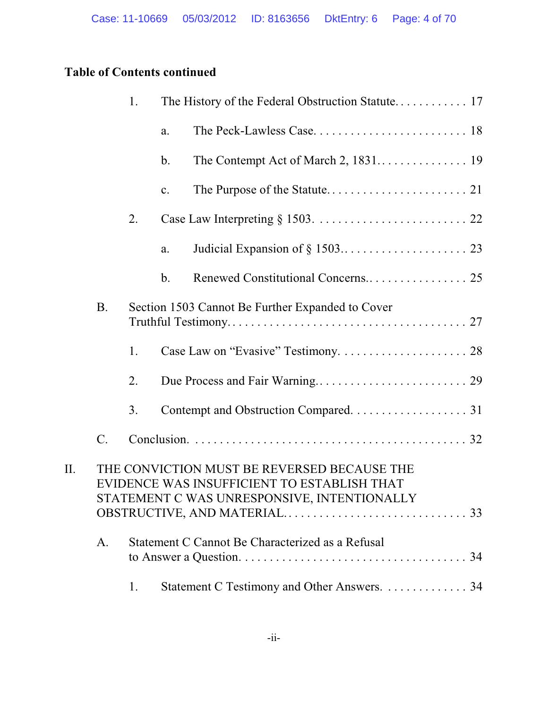# **Table of Contents continued**

|     |                                                                                                                                           | 1. |               |                                                                                                                                                             |
|-----|-------------------------------------------------------------------------------------------------------------------------------------------|----|---------------|-------------------------------------------------------------------------------------------------------------------------------------------------------------|
|     |                                                                                                                                           |    | a.            |                                                                                                                                                             |
|     |                                                                                                                                           |    | $\mathbf b$ . |                                                                                                                                                             |
|     |                                                                                                                                           |    | c.            |                                                                                                                                                             |
|     |                                                                                                                                           | 2. |               |                                                                                                                                                             |
|     |                                                                                                                                           |    | a.            |                                                                                                                                                             |
|     |                                                                                                                                           |    | $\mathbf b$ . |                                                                                                                                                             |
|     | <b>B.</b>                                                                                                                                 |    |               | Section 1503 Cannot Be Further Expanded to Cover                                                                                                            |
|     |                                                                                                                                           | 1. |               |                                                                                                                                                             |
|     |                                                                                                                                           | 2. |               |                                                                                                                                                             |
|     |                                                                                                                                           | 3. |               |                                                                                                                                                             |
|     | $C$ .                                                                                                                                     |    |               |                                                                                                                                                             |
| II. | THE CONVICTION MUST BE REVERSED BECAUSE THE<br>EVIDENCE WAS INSUFFICIENT TO ESTABLISH THAT<br>STATEMENT C WAS UNRESPONSIVE, INTENTIONALLY |    |               |                                                                                                                                                             |
|     | A.                                                                                                                                        |    |               | Statement C Cannot Be Characterized as a Refusal<br>to Answer a Question. $\ldots \ldots \ldots \ldots \ldots \ldots \ldots \ldots \ldots \ldots \ldots$ 34 |
|     |                                                                                                                                           | 1. |               | Statement C Testimony and Other Answers. 34                                                                                                                 |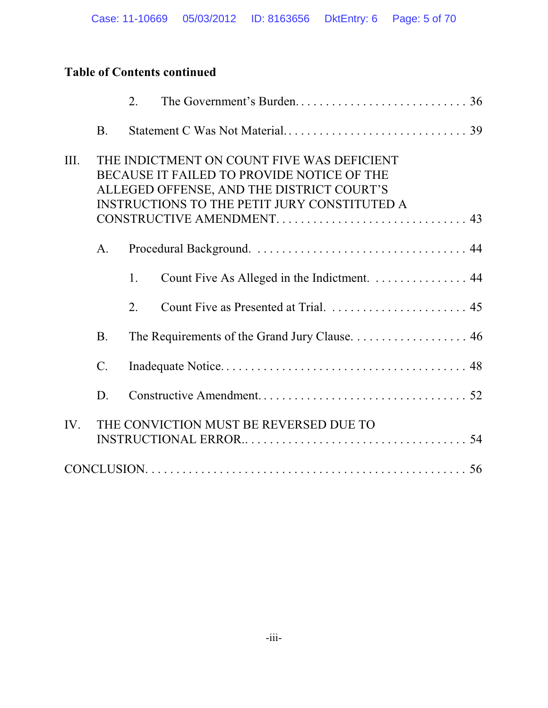# **Table of Contents continued**

|      |                 | 2. |                                                                                                                                                                                       |  |
|------|-----------------|----|---------------------------------------------------------------------------------------------------------------------------------------------------------------------------------------|--|
|      | <b>B.</b>       |    |                                                                                                                                                                                       |  |
| III. |                 |    | THE INDICTMENT ON COUNT FIVE WAS DEFICIENT<br>BECAUSE IT FAILED TO PROVIDE NOTICE OF THE<br>ALLEGED OFFENSE, AND THE DISTRICT COURT'S<br>INSTRUCTIONS TO THE PETIT JURY CONSTITUTED A |  |
|      | A.              |    |                                                                                                                                                                                       |  |
|      |                 | 1. | Count Five As Alleged in the Indictment. 44                                                                                                                                           |  |
|      |                 | 2. |                                                                                                                                                                                       |  |
|      | <b>B.</b>       |    |                                                                                                                                                                                       |  |
|      | $\mathcal{C}$ . |    |                                                                                                                                                                                       |  |
|      | D.              |    |                                                                                                                                                                                       |  |
| IV.  |                 |    | THE CONVICTION MUST BE REVERSED DUE TO                                                                                                                                                |  |
|      |                 |    |                                                                                                                                                                                       |  |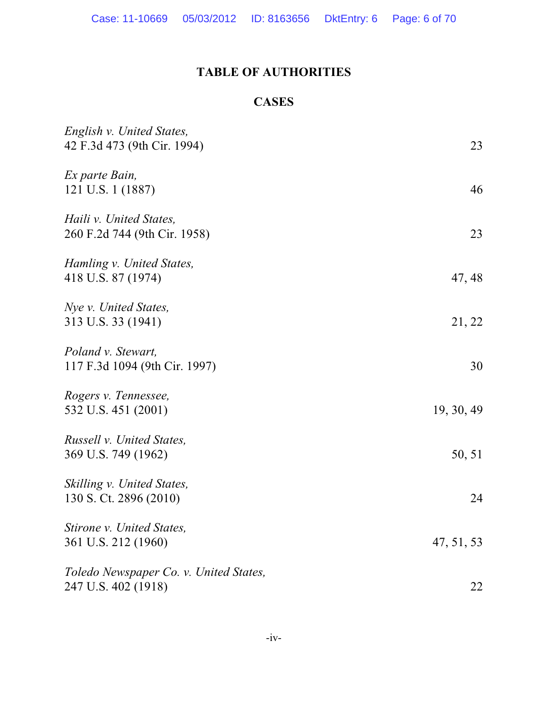# **TABLE OF AUTHORITIES**

## **CASES**

| English v. United States,<br>42 F.3d 473 (9th Cir. 1994)      | 23         |
|---------------------------------------------------------------|------------|
| Ex parte Bain,<br>121 U.S. 1 (1887)                           | 46         |
| Haili v. United States.<br>260 F.2d 744 (9th Cir. 1958)       | 23         |
| Hamling v. United States,<br>418 U.S. 87 (1974)               | 47, 48     |
| Nye v. United States,<br>313 U.S. 33 (1941)                   | 21, 22     |
| Poland v. Stewart,<br>117 F.3d 1094 (9th Cir. 1997)           | 30         |
| Rogers v. Tennessee,<br>532 U.S. 451 (2001)                   | 19, 30, 49 |
| Russell v. United States,<br>369 U.S. 749 (1962)              | 50, 51     |
| Skilling v. United States,<br>130 S. Ct. 2896 (2010)          | 24         |
| Stirone v. United States,<br>361 U.S. 212 (1960)              | 47, 51, 53 |
| Toledo Newspaper Co. v. United States,<br>247 U.S. 402 (1918) | 22         |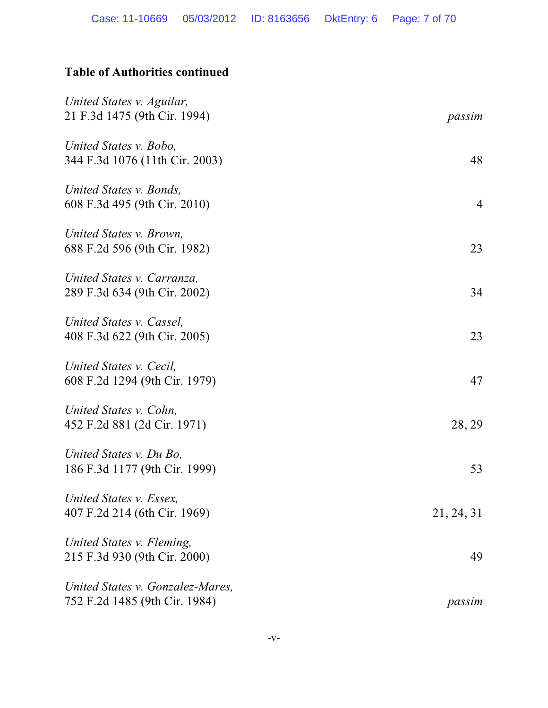| United States v. Aguilar,<br>21 F.3d 1475 (9th Cir. 1994)         | passim         |
|-------------------------------------------------------------------|----------------|
| United States v. Bobo,<br>344 F.3d 1076 (11th Cir. 2003)          | 48             |
| United States v. Bonds,<br>608 F.3d 495 (9th Cir. 2010)           | $\overline{4}$ |
| United States v. Brown,<br>688 F.2d 596 (9th Cir. 1982)           | 23             |
| United States v. Carranza,<br>289 F.3d 634 (9th Cir. 2002)        | 34             |
| United States v. Cassel,<br>408 F.3d 622 (9th Cir. 2005)          | 23             |
| United States v. Cecil,<br>608 F.2d 1294 (9th Cir. 1979)          | 47             |
| United States v. Cohn,<br>452 F.2d 881 (2d Cir. 1971)             | 28, 29         |
| United States v. Du Bo,<br>186 F.3d 1177 (9th Cir. 1999)          | 53             |
| United States v. Essex,<br>407 F.2d 214 (6th Cir. 1969)           | 21, 24, 31     |
| United States v. Fleming,<br>215 F.3d 930 (9th Cir. 2000)         | 49             |
| United States v. Gonzalez-Mares,<br>752 F.2d 1485 (9th Cir. 1984) | passim         |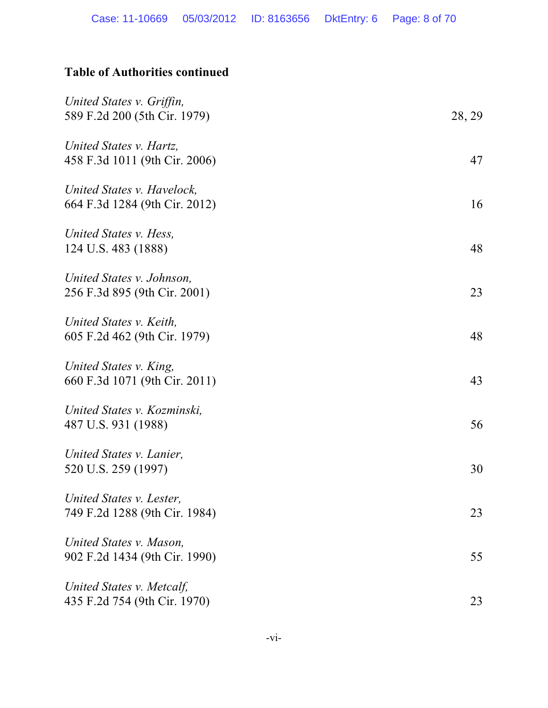| United States v. Griffin,     |        |
|-------------------------------|--------|
| 589 F.2d 200 (5th Cir. 1979)  | 28, 29 |
| United States v. Hartz,       |        |
| 458 F.3d 1011 (9th Cir. 2006) | 47     |
| United States v. Havelock,    |        |
| 664 F.3d 1284 (9th Cir. 2012) | 16     |
| United States v. Hess,        |        |
| 124 U.S. 483 (1888)           | 48     |
| United States v. Johnson,     |        |
| 256 F.3d 895 (9th Cir. 2001)  | 23     |
| United States v. Keith,       |        |
| 605 F.2d 462 (9th Cir. 1979)  | 48     |
| United States v. King,        |        |
| 660 F.3d 1071 (9th Cir. 2011) | 43     |
| United States v. Kozminski,   |        |
| 487 U.S. 931 (1988)           | 56     |
| United States v. Lanier,      |        |
| 520 U.S. 259 (1997)           | 30     |
| United States v. Lester,      |        |
| 749 F.2d 1288 (9th Cir. 1984) | 23     |
| United States v. Mason.       |        |
| 902 F.2d 1434 (9th Cir. 1990) | 55     |
| United States v. Metcalf,     |        |
| 435 F.2d 754 (9th Cir. 1970)  | 23     |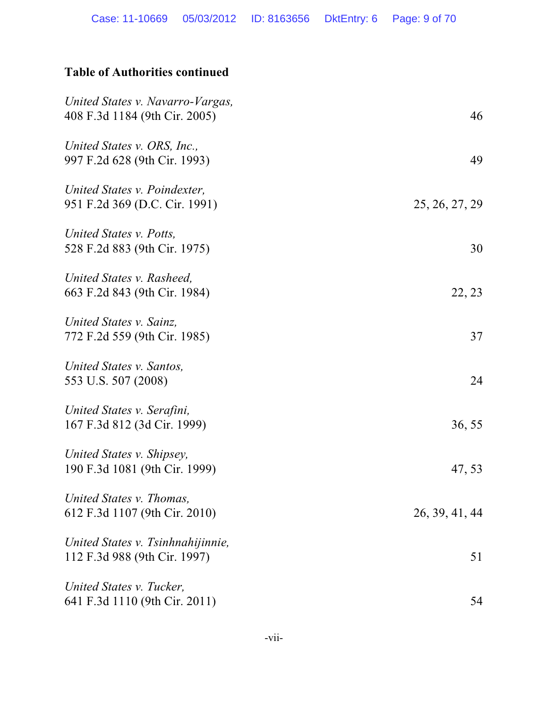| United States v. Navarro-Vargas,<br>408 F.3d 1184 (9th Cir. 2005) | 46             |
|-------------------------------------------------------------------|----------------|
| United States v. ORS, Inc.,<br>997 F.2d 628 (9th Cir. 1993)       | 49             |
| United States v. Poindexter,<br>951 F.2d 369 (D.C. Cir. 1991)     | 25, 26, 27, 29 |
| United States v. Potts,<br>528 F.2d 883 (9th Cir. 1975)           | 30             |
| United States v. Rasheed,<br>663 F.2d 843 (9th Cir. 1984)         | 22, 23         |
| United States v. Sainz,<br>772 F.2d 559 (9th Cir. 1985)           | 37             |
| United States v. Santos,<br>553 U.S. 507 (2008)                   | 24             |
| United States v. Serafini,<br>167 F.3d 812 (3d Cir. 1999)         | 36, 55         |
| United States v. Shipsey,<br>190 F.3d 1081 (9th Cir. 1999)        | 47, 53         |
| United States v. Thomas,<br>612 F.3d 1107 (9th Cir. 2010)         | 26, 39, 41, 44 |
| United States v. Tsinhnahijinnie,<br>112 F.3d 988 (9th Cir. 1997) | 51             |
| United States v. Tucker,<br>641 F.3d 1110 (9th Cir. 2011)         | 54             |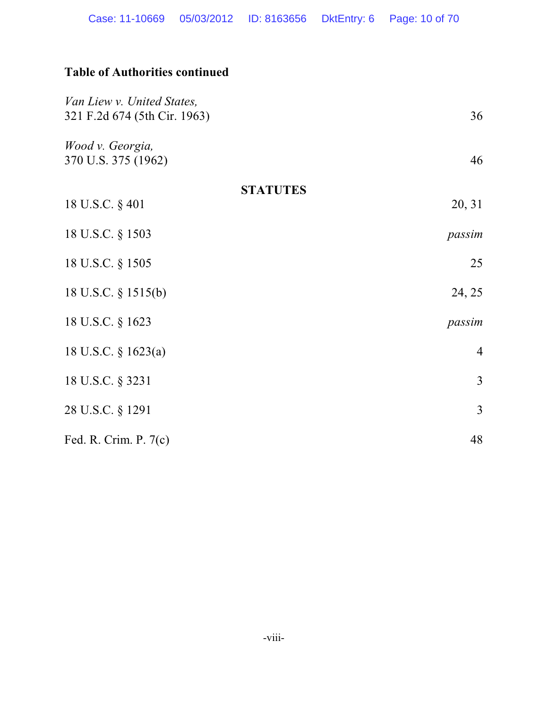| Van Liew v. United States,<br>321 F.2d 674 (5th Cir. 1963) | 36             |
|------------------------------------------------------------|----------------|
| Wood v. Georgia,<br>370 U.S. 375 (1962)                    | 46             |
| <b>STATUTES</b><br>18 U.S.C. § 401                         | 20, 31         |
| 18 U.S.C. § 1503                                           | passim         |
| 18 U.S.C. § 1505                                           | 25             |
| 18 U.S.C. § 1515(b)                                        | 24, 25         |
| 18 U.S.C. § 1623                                           | passim         |
| 18 U.S.C. § 1623(a)                                        | $\overline{4}$ |
| 18 U.S.C. § 3231                                           | 3              |
| 28 U.S.C. § 1291                                           | $\overline{3}$ |
| Fed. R. Crim. P. 7(c)                                      | 48             |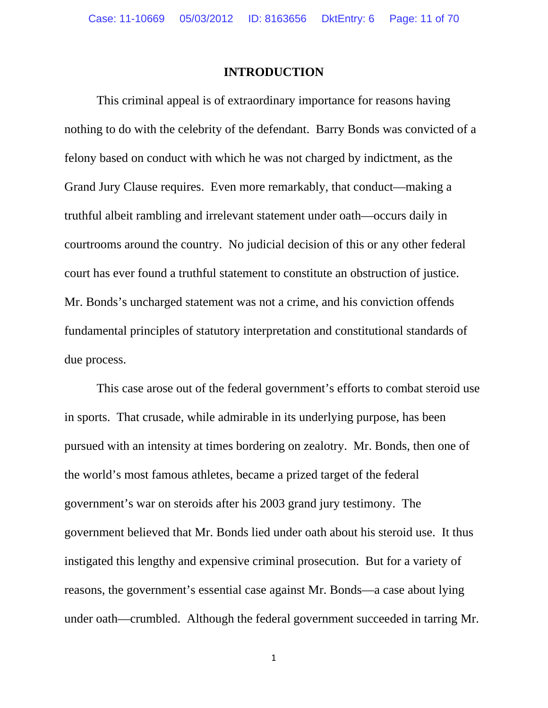#### **INTRODUCTION**

 This criminal appeal is of extraordinary importance for reasons having nothing to do with the celebrity of the defendant. Barry Bonds was convicted of a felony based on conduct with which he was not charged by indictment, as the Grand Jury Clause requires. Even more remarkably, that conduct—making a truthful albeit rambling and irrelevant statement under oath—occurs daily in courtrooms around the country. No judicial decision of this or any other federal court has ever found a truthful statement to constitute an obstruction of justice. Mr. Bonds's uncharged statement was not a crime, and his conviction offends fundamental principles of statutory interpretation and constitutional standards of due process.

 This case arose out of the federal government's efforts to combat steroid use in sports. That crusade, while admirable in its underlying purpose, has been pursued with an intensity at times bordering on zealotry. Mr. Bonds, then one of the world's most famous athletes, became a prized target of the federal government's war on steroids after his 2003 grand jury testimony. The government believed that Mr. Bonds lied under oath about his steroid use. It thus instigated this lengthy and expensive criminal prosecution. But for a variety of reasons, the government's essential case against Mr. Bonds—a case about lying under oath—crumbled. Although the federal government succeeded in tarring Mr.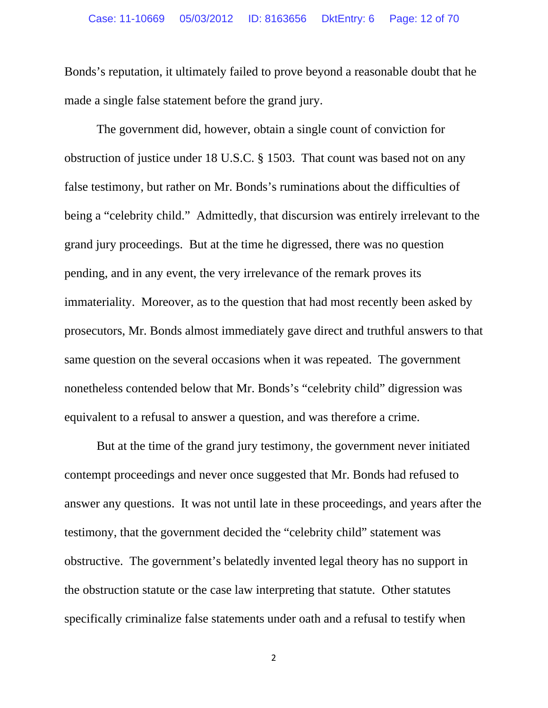Bonds's reputation, it ultimately failed to prove beyond a reasonable doubt that he made a single false statement before the grand jury.

 The government did, however, obtain a single count of conviction for obstruction of justice under 18 U.S.C. § 1503. That count was based not on any false testimony, but rather on Mr. Bonds's ruminations about the difficulties of being a "celebrity child." Admittedly, that discursion was entirely irrelevant to the grand jury proceedings. But at the time he digressed, there was no question pending, and in any event, the very irrelevance of the remark proves its immateriality. Moreover, as to the question that had most recently been asked by prosecutors, Mr. Bonds almost immediately gave direct and truthful answers to that same question on the several occasions when it was repeated. The government nonetheless contended below that Mr. Bonds's "celebrity child" digression was equivalent to a refusal to answer a question, and was therefore a crime.

 But at the time of the grand jury testimony, the government never initiated contempt proceedings and never once suggested that Mr. Bonds had refused to answer any questions. It was not until late in these proceedings, and years after the testimony, that the government decided the "celebrity child" statement was obstructive. The government's belatedly invented legal theory has no support in the obstruction statute or the case law interpreting that statute. Other statutes specifically criminalize false statements under oath and a refusal to testify when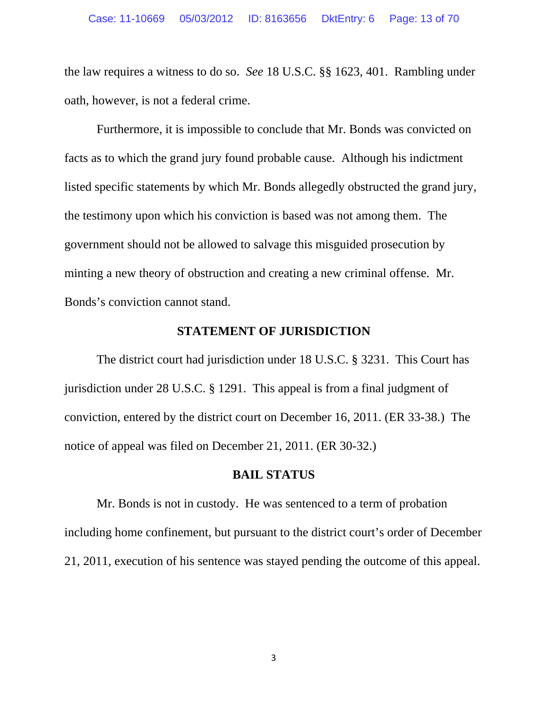the law requires a witness to do so. *See* 18 U.S.C. §§ 1623, 401. Rambling under oath, however, is not a federal crime.

Furthermore, it is impossible to conclude that Mr. Bonds was convicted on facts as to which the grand jury found probable cause. Although his indictment listed specific statements by which Mr. Bonds allegedly obstructed the grand jury, the testimony upon which his conviction is based was not among them. The government should not be allowed to salvage this misguided prosecution by minting a new theory of obstruction and creating a new criminal offense. Mr. Bonds's conviction cannot stand.

#### **STATEMENT OF JURISDICTION**

 The district court had jurisdiction under 18 U.S.C. § 3231. This Court has jurisdiction under 28 U.S.C. § 1291. This appeal is from a final judgment of conviction, entered by the district court on December 16, 2011. (ER 33-38.) The notice of appeal was filed on December 21, 2011. (ER 30-32.)

#### **BAIL STATUS**

 Mr. Bonds is not in custody. He was sentenced to a term of probation including home confinement, but pursuant to the district court's order of December 21, 2011, execution of his sentence was stayed pending the outcome of this appeal.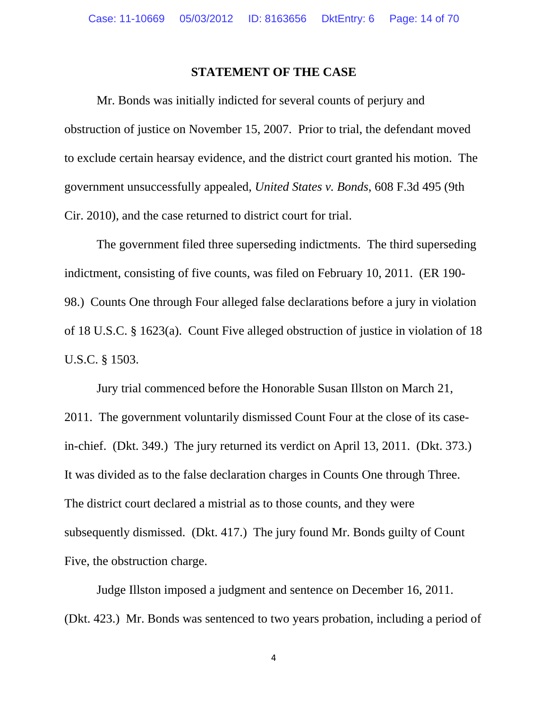#### **STATEMENT OF THE CASE**

 Mr. Bonds was initially indicted for several counts of perjury and obstruction of justice on November 15, 2007. Prior to trial, the defendant moved to exclude certain hearsay evidence, and the district court granted his motion. The government unsuccessfully appealed, *United States v. Bonds*, 608 F.3d 495 (9th Cir. 2010), and the case returned to district court for trial.

 The government filed three superseding indictments. The third superseding indictment, consisting of five counts, was filed on February 10, 2011. (ER 190- 98.) Counts One through Four alleged false declarations before a jury in violation of 18 U.S.C. § 1623(a). Count Five alleged obstruction of justice in violation of 18 U.S.C. § 1503.

 Jury trial commenced before the Honorable Susan Illston on March 21, 2011. The government voluntarily dismissed Count Four at the close of its casein-chief. (Dkt. 349.) The jury returned its verdict on April 13, 2011. (Dkt. 373.) It was divided as to the false declaration charges in Counts One through Three. The district court declared a mistrial as to those counts, and they were subsequently dismissed. (Dkt. 417.) The jury found Mr. Bonds guilty of Count Five, the obstruction charge.

 Judge Illston imposed a judgment and sentence on December 16, 2011. (Dkt. 423.) Mr. Bonds was sentenced to two years probation, including a period of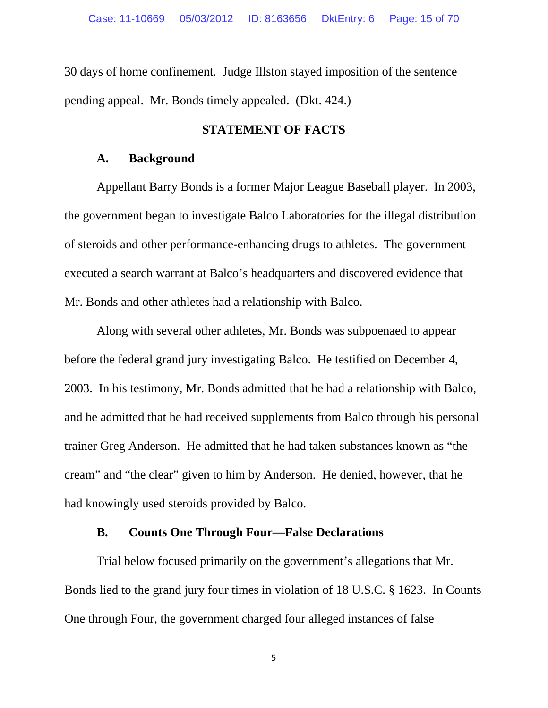30 days of home confinement. Judge Illston stayed imposition of the sentence pending appeal. Mr. Bonds timely appealed. (Dkt. 424.)

## **STATEMENT OF FACTS**

#### **A. Background**

 Appellant Barry Bonds is a former Major League Baseball player. In 2003, the government began to investigate Balco Laboratories for the illegal distribution of steroids and other performance-enhancing drugs to athletes. The government executed a search warrant at Balco's headquarters and discovered evidence that Mr. Bonds and other athletes had a relationship with Balco.

 Along with several other athletes, Mr. Bonds was subpoenaed to appear before the federal grand jury investigating Balco. He testified on December 4, 2003. In his testimony, Mr. Bonds admitted that he had a relationship with Balco, and he admitted that he had received supplements from Balco through his personal trainer Greg Anderson. He admitted that he had taken substances known as "the cream" and "the clear" given to him by Anderson. He denied, however, that he had knowingly used steroids provided by Balco.

## **B. Counts One Through Four—False Declarations**

 Trial below focused primarily on the government's allegations that Mr. Bonds lied to the grand jury four times in violation of 18 U.S.C. § 1623. In Counts One through Four, the government charged four alleged instances of false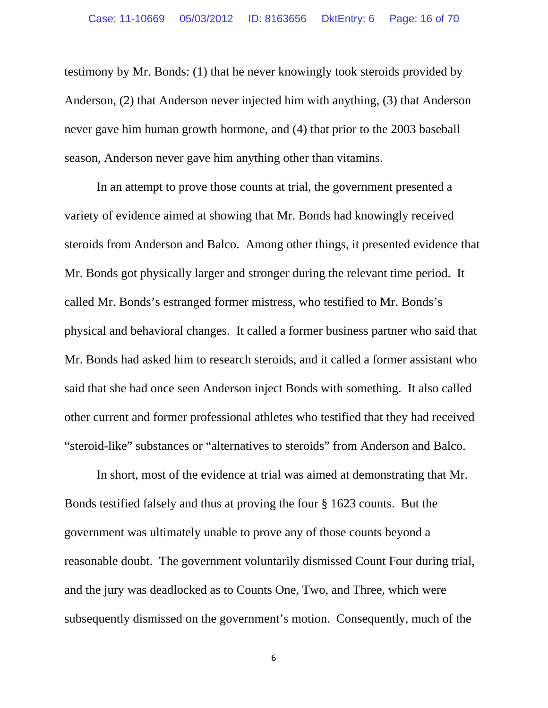testimony by Mr. Bonds: (1) that he never knowingly took steroids provided by Anderson, (2) that Anderson never injected him with anything, (3) that Anderson never gave him human growth hormone, and (4) that prior to the 2003 baseball season, Anderson never gave him anything other than vitamins.

 In an attempt to prove those counts at trial, the government presented a variety of evidence aimed at showing that Mr. Bonds had knowingly received steroids from Anderson and Balco. Among other things, it presented evidence that Mr. Bonds got physically larger and stronger during the relevant time period. It called Mr. Bonds's estranged former mistress, who testified to Mr. Bonds's physical and behavioral changes. It called a former business partner who said that Mr. Bonds had asked him to research steroids, and it called a former assistant who said that she had once seen Anderson inject Bonds with something. It also called other current and former professional athletes who testified that they had received "steroid-like" substances or "alternatives to steroids" from Anderson and Balco.

 In short, most of the evidence at trial was aimed at demonstrating that Mr. Bonds testified falsely and thus at proving the four § 1623 counts. But the government was ultimately unable to prove any of those counts beyond a reasonable doubt. The government voluntarily dismissed Count Four during trial, and the jury was deadlocked as to Counts One, Two, and Three, which were subsequently dismissed on the government's motion. Consequently, much of the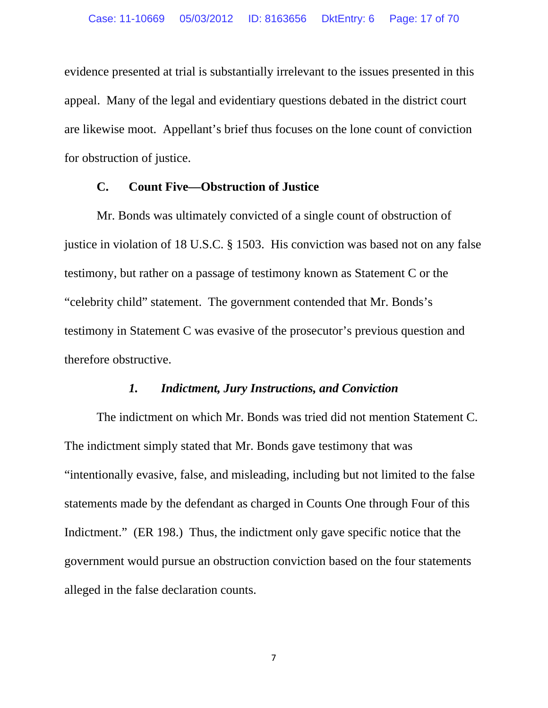evidence presented at trial is substantially irrelevant to the issues presented in this appeal. Many of the legal and evidentiary questions debated in the district court are likewise moot. Appellant's brief thus focuses on the lone count of conviction for obstruction of justice.

### **C. Count Five—Obstruction of Justice**

 Mr. Bonds was ultimately convicted of a single count of obstruction of justice in violation of 18 U.S.C. § 1503. His conviction was based not on any false testimony, but rather on a passage of testimony known as Statement C or the "celebrity child" statement. The government contended that Mr. Bonds's testimony in Statement C was evasive of the prosecutor's previous question and therefore obstructive.

#### *1. Indictment, Jury Instructions, and Conviction*

 The indictment on which Mr. Bonds was tried did not mention Statement C. The indictment simply stated that Mr. Bonds gave testimony that was "intentionally evasive, false, and misleading, including but not limited to the false statements made by the defendant as charged in Counts One through Four of this Indictment." (ER 198.) Thus, the indictment only gave specific notice that the government would pursue an obstruction conviction based on the four statements alleged in the false declaration counts.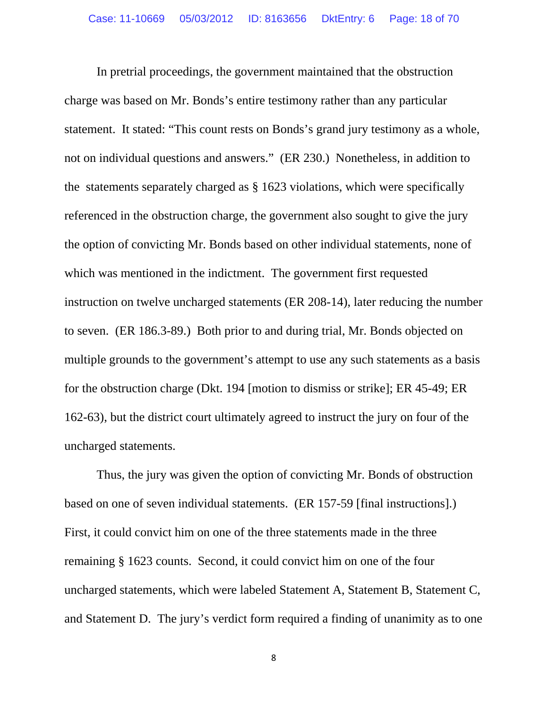In pretrial proceedings, the government maintained that the obstruction charge was based on Mr. Bonds's entire testimony rather than any particular statement. It stated: "This count rests on Bonds's grand jury testimony as a whole, not on individual questions and answers." (ER 230.) Nonetheless, in addition to the statements separately charged as § 1623 violations, which were specifically referenced in the obstruction charge, the government also sought to give the jury the option of convicting Mr. Bonds based on other individual statements, none of which was mentioned in the indictment. The government first requested instruction on twelve uncharged statements (ER 208-14), later reducing the number to seven. (ER 186.3-89.) Both prior to and during trial, Mr. Bonds objected on multiple grounds to the government's attempt to use any such statements as a basis for the obstruction charge (Dkt. 194 [motion to dismiss or strike]; ER 45-49; ER 162-63), but the district court ultimately agreed to instruct the jury on four of the uncharged statements.

 Thus, the jury was given the option of convicting Mr. Bonds of obstruction based on one of seven individual statements. (ER 157-59 [final instructions].) First, it could convict him on one of the three statements made in the three remaining § 1623 counts. Second, it could convict him on one of the four uncharged statements, which were labeled Statement A, Statement B, Statement C, and Statement D. The jury's verdict form required a finding of unanimity as to one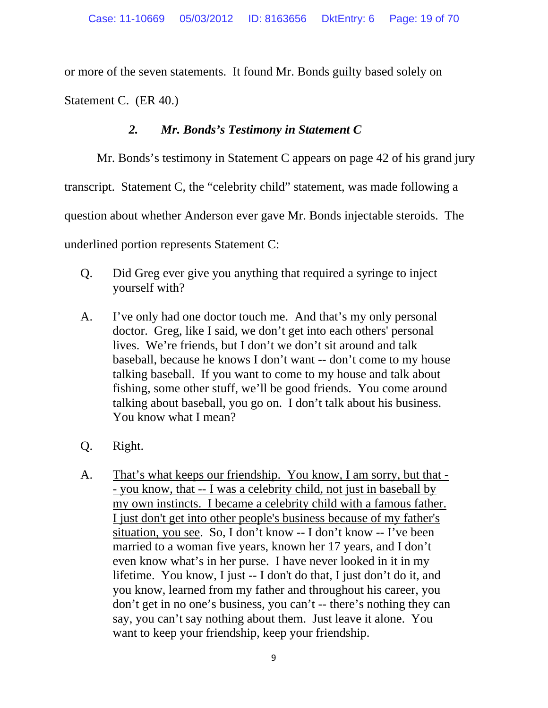or more of the seven statements. It found Mr. Bonds guilty based solely on Statement C. (ER 40.)

## *2. Mr. Bonds's Testimony in Statement C*

Mr. Bonds's testimony in Statement C appears on page 42 of his grand jury

transcript. Statement C, the "celebrity child" statement, was made following a

question about whether Anderson ever gave Mr. Bonds injectable steroids. The

underlined portion represents Statement C:

- Q. Did Greg ever give you anything that required a syringe to inject yourself with?
- A. I've only had one doctor touch me. And that's my only personal doctor. Greg, like I said, we don't get into each others' personal lives. We're friends, but I don't we don't sit around and talk baseball, because he knows I don't want -- don't come to my house talking baseball. If you want to come to my house and talk about fishing, some other stuff, we'll be good friends. You come around talking about baseball, you go on. I don't talk about his business. You know what I mean?
- Q. Right.
- A. That's what keeps our friendship. You know, I am sorry, but that -- you know, that -- I was a celebrity child, not just in baseball by my own instincts. I became a celebrity child with a famous father. I just don't get into other people's business because of my father's situation, you see. So, I don't know -- I don't know -- I've been married to a woman five years, known her 17 years, and I don't even know what's in her purse. I have never looked in it in my lifetime. You know, I just -- I don't do that, I just don't do it, and you know, learned from my father and throughout his career, you don't get in no one's business, you can't -- there's nothing they can say, you can't say nothing about them. Just leave it alone. You want to keep your friendship, keep your friendship.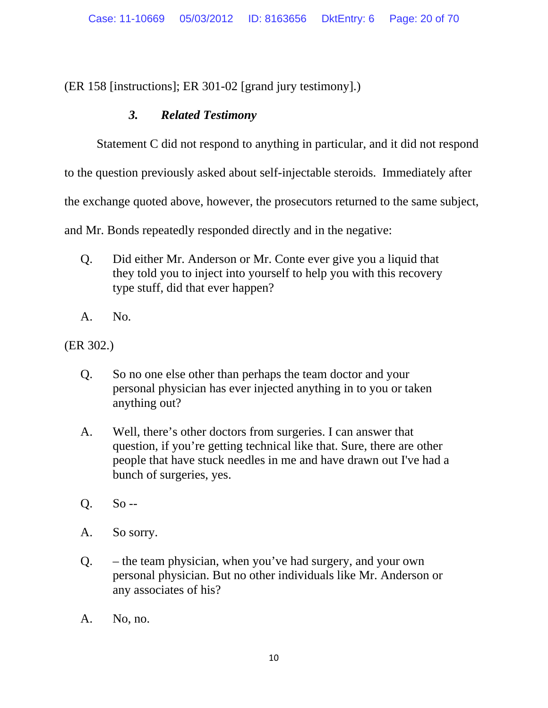(ER 158 [instructions]; ER 301-02 [grand jury testimony].)

## *3. Related Testimony*

Statement C did not respond to anything in particular, and it did not respond

to the question previously asked about self-injectable steroids. Immediately after

the exchange quoted above, however, the prosecutors returned to the same subject,

and Mr. Bonds repeatedly responded directly and in the negative:

- Q. Did either Mr. Anderson or Mr. Conte ever give you a liquid that they told you to inject into yourself to help you with this recovery type stuff, did that ever happen?
- A. No.

(ER 302.)

- Q. So no one else other than perhaps the team doctor and your personal physician has ever injected anything in to you or taken anything out?
- A. Well, there's other doctors from surgeries. I can answer that question, if you're getting technical like that. Sure, there are other people that have stuck needles in me and have drawn out I've had a bunch of surgeries, yes.
- $Q.$  So --
- A. So sorry.
- Q. the team physician, when you've had surgery, and your own personal physician. But no other individuals like Mr. Anderson or any associates of his?
- A. No, no.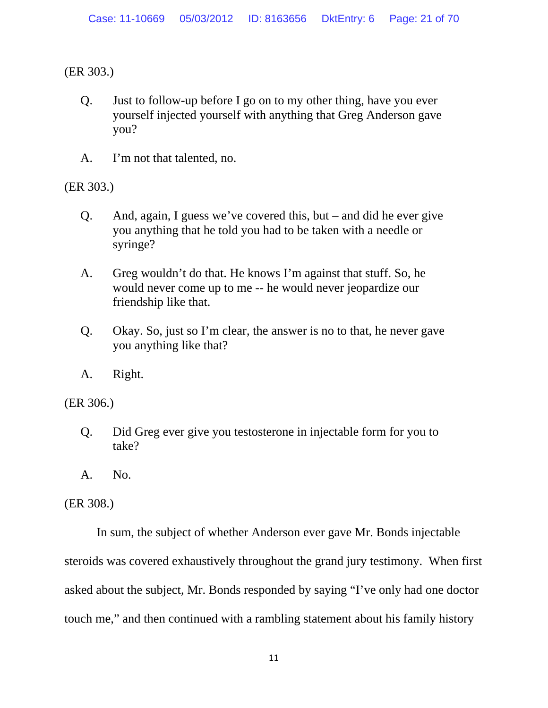## (ER 303.)

- Q. Just to follow-up before I go on to my other thing, have you ever yourself injected yourself with anything that Greg Anderson gave you?
- A. I'm not that talented, no.

(ER 303.)

- Q. And, again, I guess we've covered this, but and did he ever give you anything that he told you had to be taken with a needle or syringe?
- A. Greg wouldn't do that. He knows I'm against that stuff. So, he would never come up to me -- he would never jeopardize our friendship like that.
- Q. Okay. So, just so I'm clear, the answer is no to that, he never gave you anything like that?
- A. Right.

(ER 306.)

- Q. Did Greg ever give you testosterone in injectable form for you to take?
- A. No.

(ER 308.)

 In sum, the subject of whether Anderson ever gave Mr. Bonds injectable steroids was covered exhaustively throughout the grand jury testimony. When first asked about the subject, Mr. Bonds responded by saying "I've only had one doctor touch me," and then continued with a rambling statement about his family history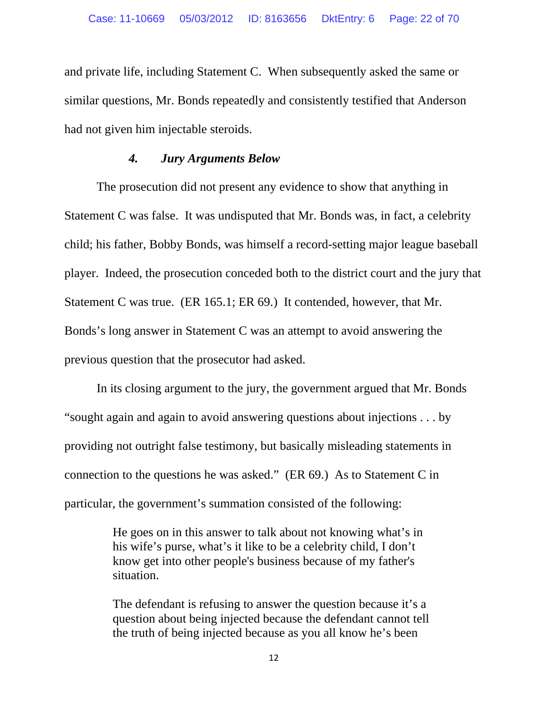and private life, including Statement C. When subsequently asked the same or similar questions, Mr. Bonds repeatedly and consistently testified that Anderson had not given him injectable steroids.

## *4. Jury Arguments Below*

 The prosecution did not present any evidence to show that anything in Statement C was false. It was undisputed that Mr. Bonds was, in fact, a celebrity child; his father, Bobby Bonds, was himself a record-setting major league baseball player. Indeed, the prosecution conceded both to the district court and the jury that Statement C was true. (ER 165.1; ER 69.) It contended, however, that Mr. Bonds's long answer in Statement C was an attempt to avoid answering the previous question that the prosecutor had asked.

 In its closing argument to the jury, the government argued that Mr. Bonds "sought again and again to avoid answering questions about injections . . . by providing not outright false testimony, but basically misleading statements in connection to the questions he was asked." (ER 69.) As to Statement C in particular, the government's summation consisted of the following:

> He goes on in this answer to talk about not knowing what's in his wife's purse, what's it like to be a celebrity child, I don't know get into other people's business because of my father's situation.

The defendant is refusing to answer the question because it's a question about being injected because the defendant cannot tell the truth of being injected because as you all know he's been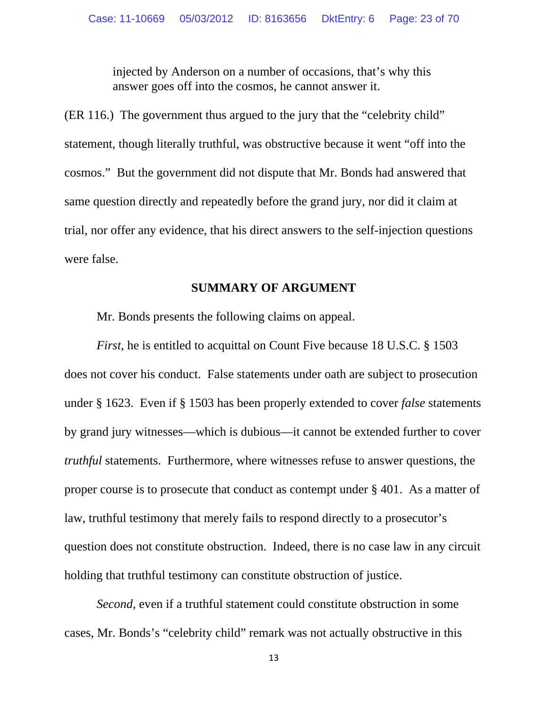injected by Anderson on a number of occasions, that's why this answer goes off into the cosmos, he cannot answer it.

(ER 116.) The government thus argued to the jury that the "celebrity child" statement, though literally truthful, was obstructive because it went "off into the cosmos." But the government did not dispute that Mr. Bonds had answered that same question directly and repeatedly before the grand jury, nor did it claim at trial, nor offer any evidence, that his direct answers to the self-injection questions were false.

### **SUMMARY OF ARGUMENT**

Mr. Bonds presents the following claims on appeal.

*First*, he is entitled to acquittal on Count Five because 18 U.S.C. § 1503 does not cover his conduct. False statements under oath are subject to prosecution under § 1623. Even if § 1503 has been properly extended to cover *false* statements by grand jury witnesses—which is dubious—it cannot be extended further to cover *truthful* statements. Furthermore, where witnesses refuse to answer questions, the proper course is to prosecute that conduct as contempt under § 401. As a matter of law, truthful testimony that merely fails to respond directly to a prosecutor's question does not constitute obstruction. Indeed, there is no case law in any circuit holding that truthful testimony can constitute obstruction of justice.

 *Second*, even if a truthful statement could constitute obstruction in some cases, Mr. Bonds's "celebrity child" remark was not actually obstructive in this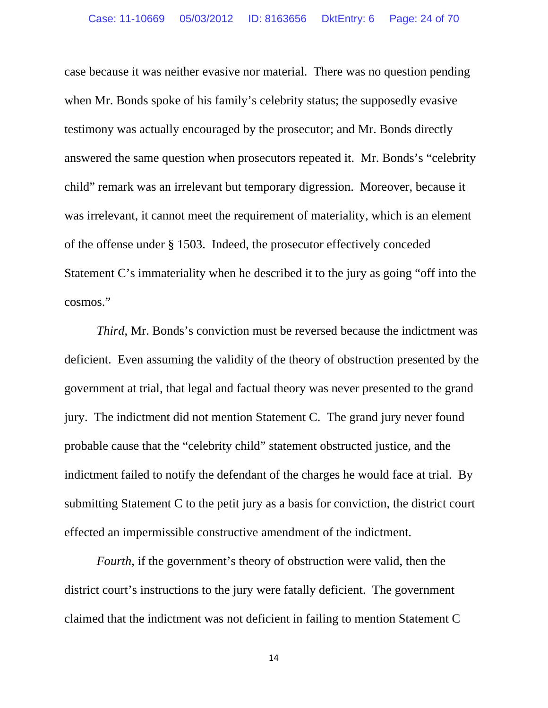case because it was neither evasive nor material. There was no question pending when Mr. Bonds spoke of his family's celebrity status; the supposedly evasive testimony was actually encouraged by the prosecutor; and Mr. Bonds directly answered the same question when prosecutors repeated it. Mr. Bonds's "celebrity child" remark was an irrelevant but temporary digression. Moreover, because it was irrelevant, it cannot meet the requirement of materiality, which is an element of the offense under § 1503. Indeed, the prosecutor effectively conceded Statement C's immateriality when he described it to the jury as going "off into the cosmos."

*Third*, Mr. Bonds's conviction must be reversed because the indictment was deficient. Even assuming the validity of the theory of obstruction presented by the government at trial, that legal and factual theory was never presented to the grand jury. The indictment did not mention Statement C. The grand jury never found probable cause that the "celebrity child" statement obstructed justice, and the indictment failed to notify the defendant of the charges he would face at trial. By submitting Statement C to the petit jury as a basis for conviction, the district court effected an impermissible constructive amendment of the indictment.

*Fourth*, if the government's theory of obstruction were valid, then the district court's instructions to the jury were fatally deficient. The government claimed that the indictment was not deficient in failing to mention Statement C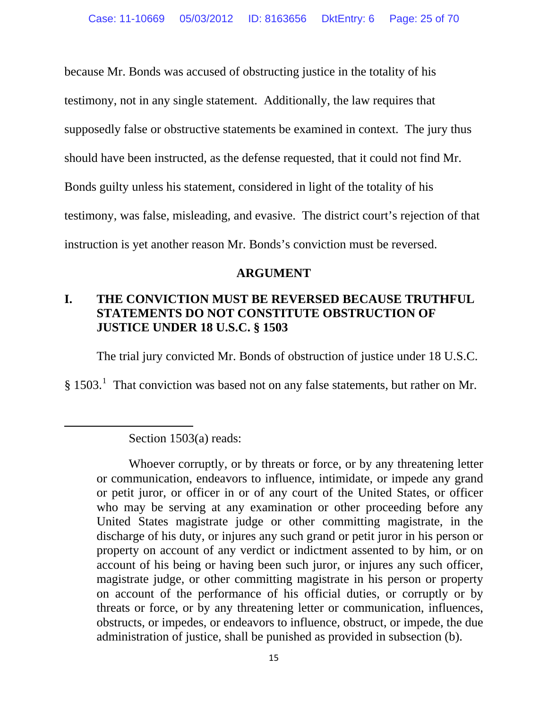because Mr. Bonds was accused of obstructing justice in the totality of his testimony, not in any single statement. Additionally, the law requires that supposedly false or obstructive statements be examined in context. The jury thus should have been instructed, as the defense requested, that it could not find Mr. Bonds guilty unless his statement, considered in light of the totality of his testimony, was false, misleading, and evasive. The district court's rejection of that instruction is yet another reason Mr. Bonds's conviction must be reversed.

## **ARGUMENT**

## **I. THE CONVICTION MUST BE REVERSED BECAUSE TRUTHFUL STATEMENTS DO NOT CONSTITUTE OBSTRUCTION OF JUSTICE UNDER 18 U.S.C. § 1503**

The trial jury convicted Mr. Bonds of obstruction of justice under 18 U.S.C.

 $§ 1503<sup>1</sup>$  $§ 1503<sup>1</sup>$  $§ 1503<sup>1</sup>$  That conviction was based not on any false statements, but rather on Mr.

Whoever corruptly, or by threats or force, or by any threatening letter or communication, endeavors to influence, intimidate, or impede any grand or petit juror, or officer in or of any court of the United States, or officer who may be serving at any examination or other proceeding before any United States magistrate judge or other committing magistrate, in the discharge of his duty, or injures any such grand or petit juror in his person or property on account of any verdict or indictment assented to by him, or on account of his being or having been such juror, or injures any such officer, magistrate judge, or other committing magistrate in his person or property on account of the performance of his official duties, or corruptly or by threats or force, or by any threatening letter or communication, influences, obstructs, or impedes, or endeavors to influence, obstruct, or impede, the due administration of justice, shall be punished as provided in subsection (b).

<span id="page-24-0"></span> Section 1503(a) reads: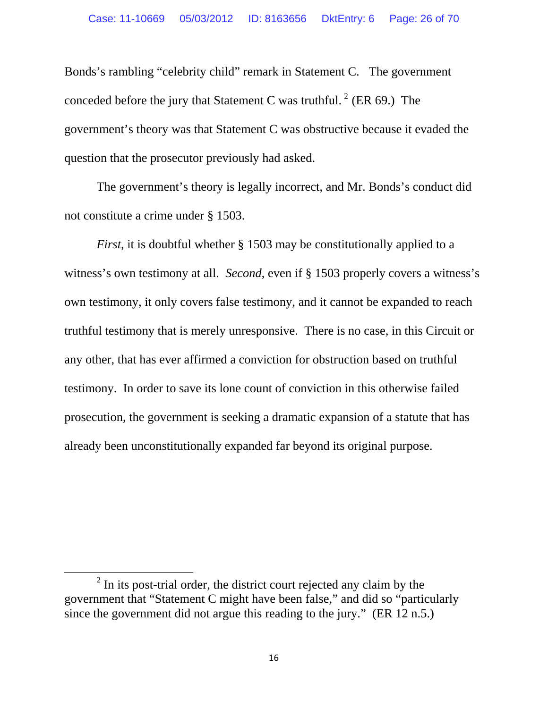Bonds's rambling "celebrity child" remark in Statement C. The government conceded before the jury that Statement C was truthful.<sup>[2](#page-25-0)</sup> (ER 69.) The government's theory was that Statement C was obstructive because it evaded the question that the prosecutor previously had asked.

 The government's theory is legally incorrect, and Mr. Bonds's conduct did not constitute a crime under § 1503.

*First*, it is doubtful whether § 1503 may be constitutionally applied to a witness's own testimony at all. *Second*, even if § 1503 properly covers a witness's own testimony, it only covers false testimony, and it cannot be expanded to reach truthful testimony that is merely unresponsive. There is no case, in this Circuit or any other, that has ever affirmed a conviction for obstruction based on truthful testimony. In order to save its lone count of conviction in this otherwise failed prosecution, the government is seeking a dramatic expansion of a statute that has already been unconstitutionally expanded far beyond its original purpose.

<span id="page-25-0"></span><sup>&</sup>lt;sup>2</sup> In its post-trial order, the district court rejected any claim by the government that "Statement C might have been false," and did so "particularly since the government did not argue this reading to the jury." (ER 12 n.5.)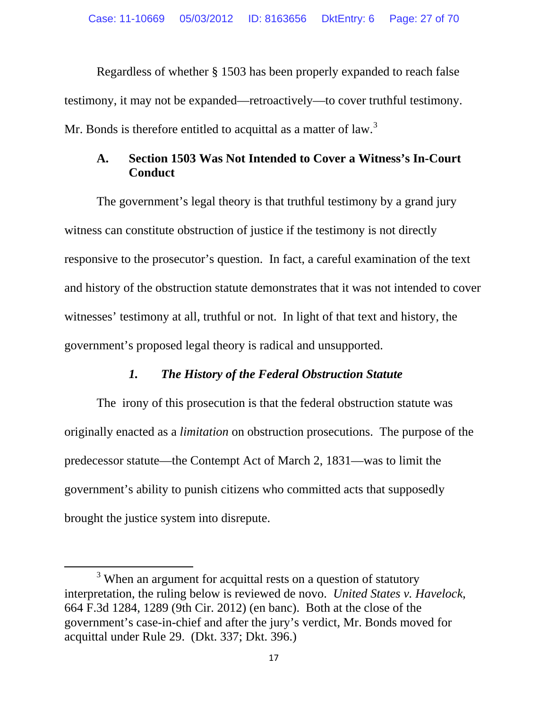Regardless of whether § 1503 has been properly expanded to reach false testimony, it may not be expanded—retroactively—to cover truthful testimony. Mr. Bonds is therefore entitled to acquittal as a matter of law.<sup>[3](#page-26-0)</sup>

## **A. Section 1503 Was Not Intended to Cover a Witness's In-Court Conduct**

The government's legal theory is that truthful testimony by a grand jury witness can constitute obstruction of justice if the testimony is not directly responsive to the prosecutor's question. In fact, a careful examination of the text and history of the obstruction statute demonstrates that it was not intended to cover witnesses' testimony at all, truthful or not. In light of that text and history, the government's proposed legal theory is radical and unsupported.

## *1. The History of the Federal Obstruction Statute*

 The irony of this prosecution is that the federal obstruction statute was originally enacted as a *limitation* on obstruction prosecutions. The purpose of the predecessor statute—the Contempt Act of March 2, 1831—was to limit the government's ability to punish citizens who committed acts that supposedly brought the justice system into disrepute.

<span id="page-26-0"></span><sup>&</sup>lt;sup>3</sup> When an argument for acquittal rests on a question of statutory interpretation, the ruling below is reviewed de novo. *United States v. Havelock*, 664 F.3d 1284, 1289 (9th Cir. 2012) (en banc). Both at the close of the government's case-in-chief and after the jury's verdict, Mr. Bonds moved for acquittal under Rule 29. (Dkt. 337; Dkt. 396.)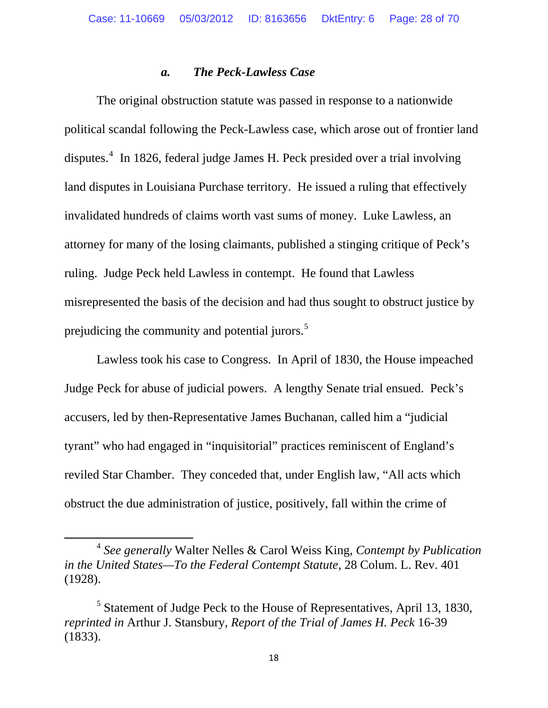#### *a. The Peck-Lawless Case*

 The original obstruction statute was passed in response to a nationwide political scandal following the Peck-Lawless case, which arose out of frontier land disputes.<sup>[4](#page-27-0)</sup> In 1826, federal judge James H. Peck presided over a trial involving land disputes in Louisiana Purchase territory. He issued a ruling that effectively invalidated hundreds of claims worth vast sums of money. Luke Lawless, an attorney for many of the losing claimants, published a stinging critique of Peck's ruling. Judge Peck held Lawless in contempt. He found that Lawless misrepresented the basis of the decision and had thus sought to obstruct justice by prejudicing the community and potential jurors.<sup>[5](#page-27-1)</sup>

 Lawless took his case to Congress. In April of 1830, the House impeached Judge Peck for abuse of judicial powers. A lengthy Senate trial ensued. Peck's accusers, led by then-Representative James Buchanan, called him a "judicial tyrant" who had engaged in "inquisitorial" practices reminiscent of England's reviled Star Chamber. They conceded that, under English law, "All acts which obstruct the due administration of justice, positively, fall within the crime of

<span id="page-27-0"></span> <sup>4</sup>  *See generally* Walter Nelles & Carol Weiss King, *Contempt by Publication in the United States—To the Federal Contempt Statute*, 28 Colum. L. Rev. 401 (1928).

<span id="page-27-1"></span> $<sup>5</sup>$  Statement of Judge Peck to the House of Representatives, April 13, 1830,</sup> *reprinted in* Arthur J. Stansbury, *Report of the Trial of James H. Peck* 16-39 (1833).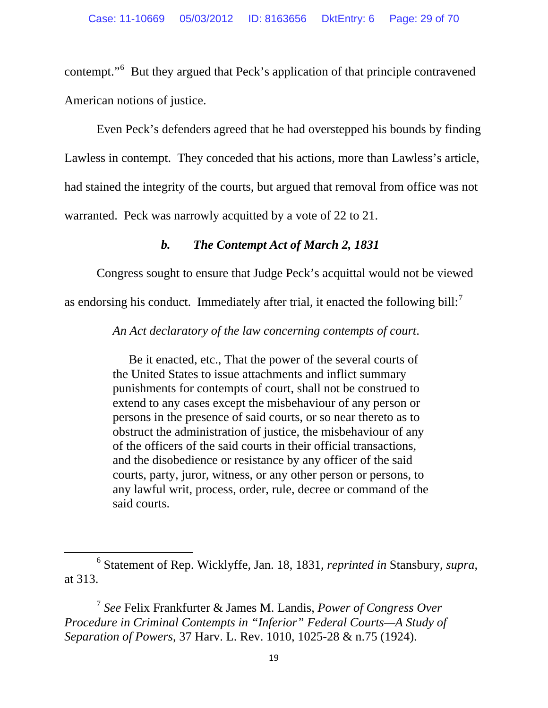contempt."<sup>[6](#page-28-0)</sup> But they argued that Peck's application of that principle contravened American notions of justice.

 Even Peck's defenders agreed that he had overstepped his bounds by finding Lawless in contempt. They conceded that his actions, more than Lawless's article, had stained the integrity of the courts, but argued that removal from office was not warranted. Peck was narrowly acquitted by a vote of 22 to 21.

## *b. The Contempt Act of March 2, 1831*

Congress sought to ensure that Judge Peck's acquittal would not be viewed

as endorsing his conduct. Immediately after trial, it enacted the following bill:<sup>[7](#page-28-1)</sup>

*An Act declaratory of the law concerning contempts of court*.

 Be it enacted, etc., That the power of the several courts of the United States to issue attachments and inflict summary punishments for contempts of court, shall not be construed to extend to any cases except the misbehaviour of any person or persons in the presence of said courts, or so near thereto as to obstruct the administration of justice, the misbehaviour of any of the officers of the said courts in their official transactions, and the disobedience or resistance by any officer of the said courts, party, juror, witness, or any other person or persons, to any lawful writ, process, order, rule, decree or command of the said courts.

<span id="page-28-1"></span>7  *See* Felix Frankfurter & James M. Landis, *Power of Congress Over Procedure in Criminal Contempts in "Inferior" Federal Courts—A Study of Separation of Powers*, 37 Harv. L. Rev. 1010, 1025-28 & n.75 (1924).

<span id="page-28-0"></span> <sup>6</sup> Statement of Rep. Wicklyffe, Jan. 18, 1831, *reprinted in* Stansbury, *supra*, at 313.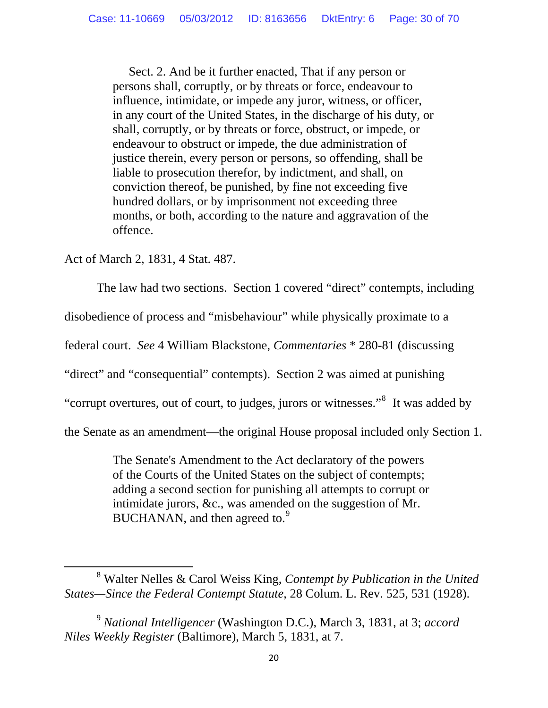Sect. 2. And be it further enacted, That if any person or persons shall, corruptly, or by threats or force, endeavour to influence, intimidate, or impede any juror, witness, or officer, in any court of the United States, in the discharge of his duty, or shall, corruptly, or by threats or force, obstruct, or impede, or endeavour to obstruct or impede, the due administration of justice therein, every person or persons, so offending, shall be liable to prosecution therefor, by indictment, and shall, on conviction thereof, be punished, by fine not exceeding five hundred dollars, or by imprisonment not exceeding three months, or both, according to the nature and aggravation of the offence.

Act of March 2, 1831, 4 Stat. 487.

The law had two sections. Section 1 covered "direct" contempts, including

disobedience of process and "misbehaviour" while physically proximate to a

federal court. *See* 4 William Blackstone, *Commentaries* \* 280-81 (discussing

"direct" and "consequential" contempts). Section 2 was aimed at punishing

"corrupt overtures, out of court, to judges, jurors or witnesses."<sup>[8](#page-29-0)</sup> It was added by

the Senate as an amendment—the original House proposal included only Section 1.

The Senate's Amendment to the Act declaratory of the powers of the Courts of the United States on the subject of contempts; adding a second section for punishing all attempts to corrupt or intimidate jurors, &c., was amende[d](#page-29-1) on the suggestion of Mr. BUCHANAN, and then agreed to.<sup>[9](#page-29-1)</sup>

<span id="page-29-0"></span> <sup>8</sup> Walter Nelles & Carol Weiss King, *Contempt by Publication in the United States—Since the Federal Contempt Statute*, 28 Colum. L. Rev. 525, 531 (1928).

<span id="page-29-1"></span><sup>9</sup>  *National Intelligencer* (Washington D.C.), March 3, 1831, at 3; *accord Niles Weekly Register* (Baltimore), March 5, 1831, at 7.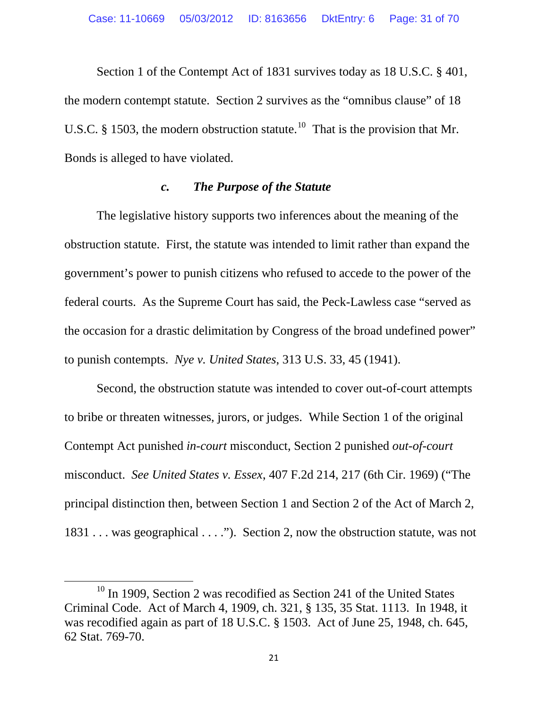Section 1 of the Contempt Act of 1831 survives today as 18 U.S.C. § 401, the modern contempt statute. Section 2 survives as the "omnibus clause" of 18 U.S.C. § 1503, the modern obstruction statute.<sup>[10](#page-30-0)</sup> That is the provision that Mr. Bonds is alleged to have violated.

### *c. The Purpose of the Statute*

 The legislative history supports two inferences about the meaning of the obstruction statute. First, the statute was intended to limit rather than expand the government's power to punish citizens who refused to accede to the power of the federal courts. As the Supreme Court has said, the Peck-Lawless case "served as the occasion for a drastic delimitation by Congress of the broad undefined power" to punish contempts. *Nye v. United States*, 313 U.S. 33, 45 (1941).

 Second, the obstruction statute was intended to cover out-of-court attempts to bribe or threaten witnesses, jurors, or judges. While Section 1 of the original Contempt Act punished *in-court* misconduct, Section 2 punished *out-of-court* misconduct. *See United States v. Essex*, 407 F.2d 214, 217 (6th Cir. 1969) ("The principal distinction then, between Section 1 and Section 2 of the Act of March 2, 1831 . . . was geographical . . . ."). Section 2, now the obstruction statute, was not

<span id="page-30-0"></span> $10$  In 1909, Section 2 was recodified as Section 241 of the United States Criminal Code. Act of March 4, 1909, ch. 321, § 135, 35 Stat. 1113. In 1948, it was recodified again as part of 18 U.S.C. § 1503. Act of June 25, 1948, ch. 645, 62 Stat. 769-70.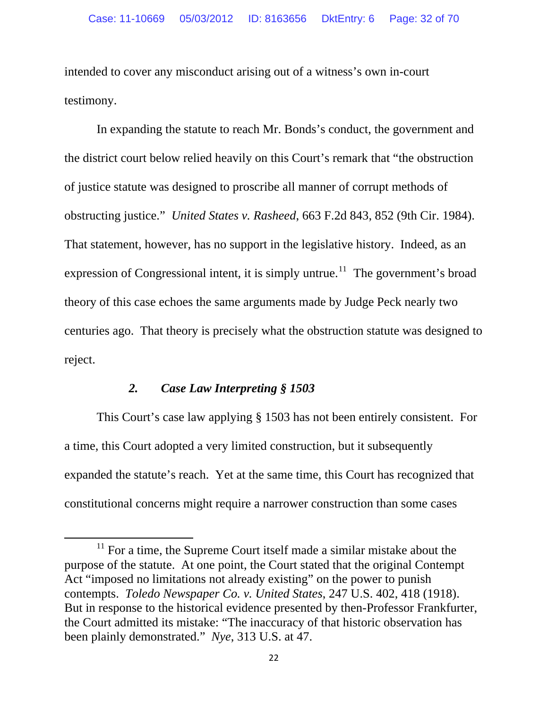intended to cover any misconduct arising out of a witness's own in-court testimony.

 In expanding the statute to reach Mr. Bonds's conduct, the government and the district court below relied heavily on this Court's remark that "the obstruction of justice statute was designed to proscribe all manner of corrupt methods of obstructing justice." *United States v. Rasheed*, 663 F.2d 843, 852 (9th Cir. 1984). That statement, however, has no support in the legislative history. Indeed, as an expression of Congressional intent, it is simply untrue.<sup>[11](#page-31-0)</sup> The government's broad theory of this case echoes the same arguments made by Judge Peck nearly two centuries ago. That theory is precisely what the obstruction statute was designed to reject.

### *2. Case Law Interpreting § 1503*

 This Court's case law applying § 1503 has not been entirely consistent. For a time, this Court adopted a very limited construction, but it subsequently expanded the statute's reach. Yet at the same time, this Court has recognized that constitutional concerns might require a narrower construction than some cases

<span id="page-31-0"></span> $11$  For a time, the Supreme Court itself made a similar mistake about the purpose of the statute. At one point, the Court stated that the original Contempt Act "imposed no limitations not already existing" on the power to punish contempts. *Toledo Newspaper Co. v. United States*, 247 U.S. 402, 418 (1918). But in response to the historical evidence presented by then-Professor Frankfurter, the Court admitted its mistake: "The inaccuracy of that historic observation has been plainly demonstrated." *Nye*, 313 U.S. at 47.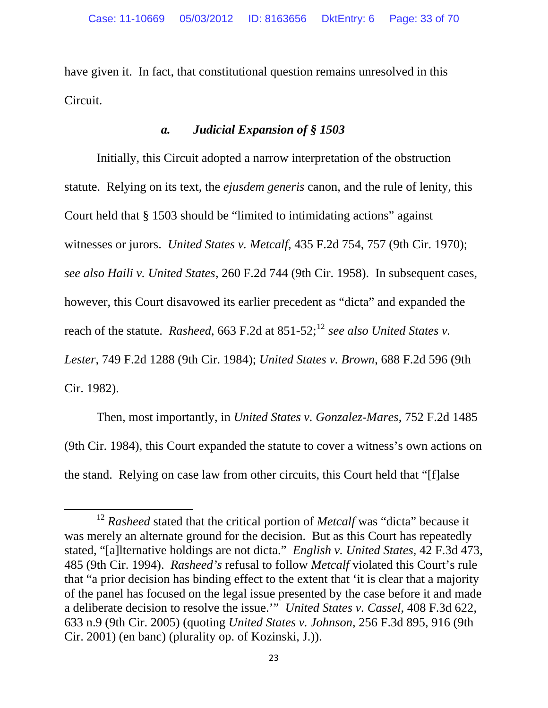have given it. In fact, that constitutional question remains unresolved in this Circuit.

## *a. Judicial Expansion of § 1503*

 Initially, this Circuit adopted a narrow interpretation of the obstruction statute. Relying on its text, the *ejusdem generis* canon, and the rule of lenity, this Court held that § 1503 should be "limited to intimidating actions" against witnesses or jurors. *United States v. Metcalf*, 435 F.2d 754, 757 (9th Cir. 1970); *see also Haili v. United States*, 260 F.2d 744 (9th Cir. 1958). In subsequent cases, however, this Court disavowed its earlier precedent as "dicta" and expanded the reach of the statute. *Rasheed*, 663 F.2d at  $851-52$ ;<sup>[12](#page-32-0)</sup> *see also United States v. Lester*, 749 F.2d 1288 (9th Cir. 1984); *United States v. Brown*, 688 F.2d 596 (9th Cir. 1982).

 Then, most importantly, in *United States v. Gonzalez-Mares*, 752 F.2d 1485 (9th Cir. 1984), this Court expanded the statute to cover a witness's own actions on the stand. Relying on case law from other circuits, this Court held that "[f]alse

<span id="page-32-0"></span><sup>&</sup>lt;sup>12</sup> Rasheed stated that the critical portion of *Metcalf* was "dicta" because it was merely an alternate ground for the decision. But as this Court has repeatedly stated, "[a]lternative holdings are not dicta." *English v. United States*, 42 F.3d 473, 485 (9th Cir. 1994). *Rasheed's* refusal to follow *Metcalf* violated this Court's rule that "a prior decision has binding effect to the extent that 'it is clear that a majority of the panel has focused on the legal issue presented by the case before it and made a deliberate decision to resolve the issue.'" *United States v. Cassel*, 408 F.3d 622, 633 n.9 (9th Cir. 2005) (quoting *United States v. Johnson*, 256 F.3d 895, 916 (9th Cir. 2001) (en banc) (plurality op. of Kozinski, J.)).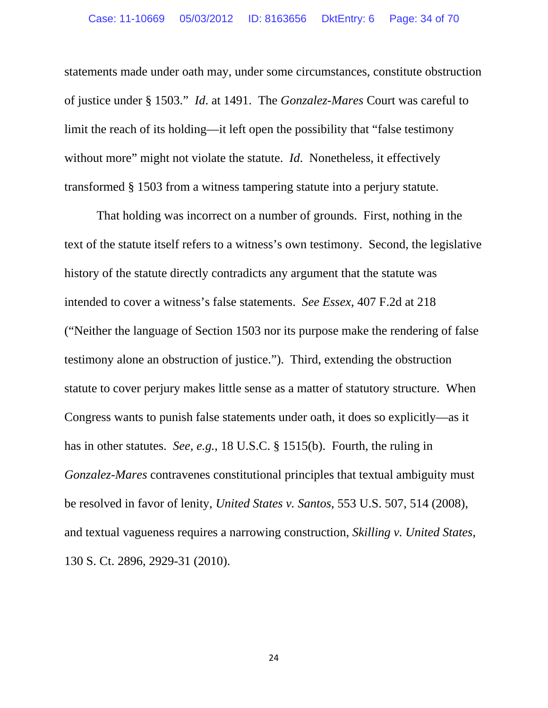statements made under oath may, under some circumstances, constitute obstruction of justice under § 1503." *Id*. at 1491. The *Gonzalez-Mares* Court was careful to limit the reach of its holding—it left open the possibility that "false testimony without more" might not violate the statute. *Id*. Nonetheless, it effectively transformed § 1503 from a witness tampering statute into a perjury statute.

 That holding was incorrect on a number of grounds. First, nothing in the text of the statute itself refers to a witness's own testimony. Second, the legislative history of the statute directly contradicts any argument that the statute was intended to cover a witness's false statements. *See Essex*, 407 F.2d at 218 ("Neither the language of Section 1503 nor its purpose make the rendering of false testimony alone an obstruction of justice."). Third, extending the obstruction statute to cover perjury makes little sense as a matter of statutory structure. When Congress wants to punish false statements under oath, it does so explicitly—as it has in other statutes. *See, e.g.*, 18 U.S.C. § 1515(b). Fourth, the ruling in *Gonzalez-Mares* contravenes constitutional principles that textual ambiguity must be resolved in favor of lenity, *United States v. Santos*, 553 U.S. 507, 514 (2008), and textual vagueness requires a narrowing construction, *Skilling v. United States*, 130 S. Ct. 2896, 2929-31 (2010).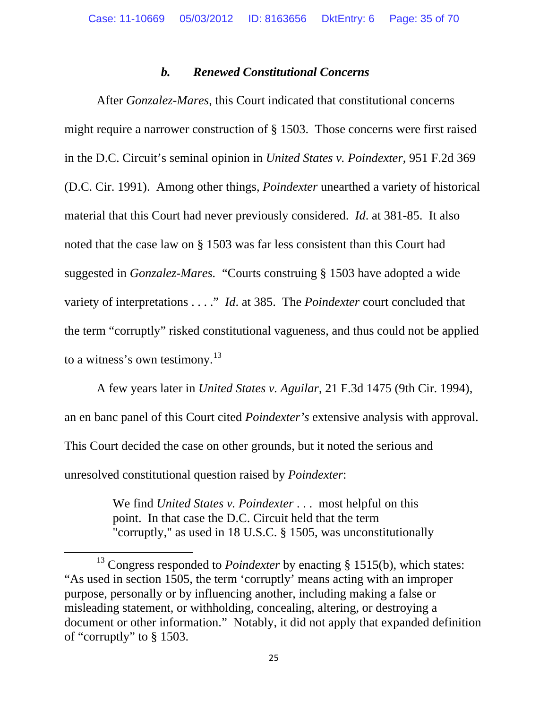### *b. Renewed Constitutional Concerns*

 After *Gonzalez-Mares*, this Court indicated that constitutional concerns might require a narrower construction of § 1503. Those concerns were first raised in the D.C. Circuit's seminal opinion in *United States v. Poindexter*, 951 F.2d 369 (D.C. Cir. 1991). Among other things, *Poindexter* unearthed a variety of historical material that this Court had never previously considered. *Id*. at 381-85. It also noted that the case law on § 1503 was far less consistent than this Court had suggested in *Gonzalez-Mares.* "Courts construing § 1503 have adopted a wide variety of interpretations . . . ." *Id*. at 385. The *Poindexter* court concluded that the term "corruptly" risked constitutional vagueness, and thus could not be applied to a witness's own testimony. $13$ 

 A few years later in *United States v. Aguilar*, 21 F.3d 1475 (9th Cir. 1994), an en banc panel of this Court cited *Poindexter's* extensive analysis with approval. This Court decided the case on other grounds, but it noted the serious and unresolved constitutional question raised by *Poindexter*:

> We find *United States v. Poindexter* . . . most helpful on this point. In that case the D.C. Circuit held that the term "corruptly," as used in 18 U.S.C. § 1505, was unconstitutionally

<span id="page-34-0"></span><sup>&</sup>lt;sup>13</sup> Congress responded to *Poindexter* by enacting § 1515(b), which states: "As used in section 1505, the term 'corruptly' means acting with an improper purpose, personally or by influencing another, including making a false or misleading statement, or withholding, concealing, altering, or destroying a document or other information." Notably, it did not apply that expanded definition of "corruptly" to § 1503.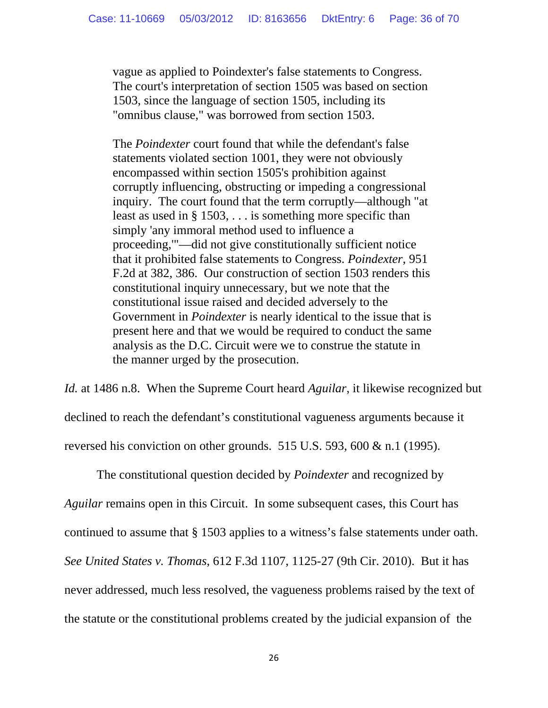vague as applied to Poindexter's false statements to Congress. The court's interpretation of section 1505 was based on section 1503, since the language of section 1505, including its "omnibus clause," was borrowed from section 1503.

The *Poindexter* court found that while the defendant's false statements violated section 1001, they were not obviously encompassed within section 1505's prohibition against corruptly influencing, obstructing or impeding a congressional inquiry. The court found that the term corruptly—although "at least as used in § 1503, . . . is something more specific than simply 'any immoral method used to influence a proceeding,'"—did not give constitutionally sufficient notice that it prohibited false statements to Congress. *Poindexter*, 951 F.2d at 382, 386. Our construction of section 1503 renders this constitutional inquiry unnecessary, but we note that the constitutional issue raised and decided adversely to the Government in *Poindexter* is nearly identical to the issue that is present here and that we would be required to conduct the same analysis as the D.C. Circuit were we to construe the statute in the manner urged by the prosecution.

*Id.* at 1486 n.8. When the Supreme Court heard *Aguilar*, it likewise recognized but declined to reach the defendant's constitutional vagueness arguments because it reversed his conviction on other grounds. 515 U.S. 593, 600 & n.1 (1995).

 The constitutional question decided by *Poindexter* and recognized by *Aguilar* remains open in this Circuit. In some subsequent cases, this Court has continued to assume that § 1503 applies to a witness's false statements under oath. *See United States v. Thomas*, 612 F.3d 1107, 1125-27 (9th Cir. 2010). But it has never addressed, much less resolved, the vagueness problems raised by the text of the statute or the constitutional problems created by the judicial expansion of the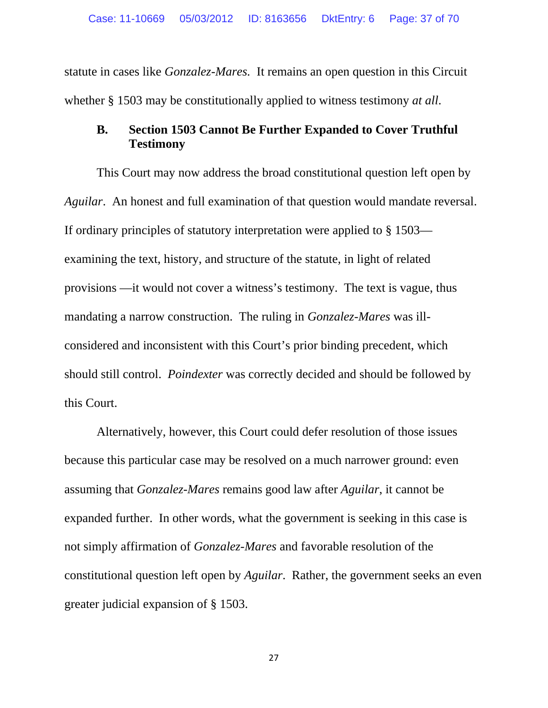statute in cases like *Gonzalez-Mares.* It remains an open question in this Circuit whether § 1503 may be constitutionally applied to witness testimony *at all*.

## **B. Section 1503 Cannot Be Further Expanded to Cover Truthful Testimony**

 This Court may now address the broad constitutional question left open by *Aguilar*. An honest and full examination of that question would mandate reversal. If ordinary principles of statutory interpretation were applied to § 1503 examining the text, history, and structure of the statute, in light of related provisions —it would not cover a witness's testimony. The text is vague, thus mandating a narrow construction. The ruling in *Gonzalez-Mares* was illconsidered and inconsistent with this Court's prior binding precedent, which should still control. *Poindexter* was correctly decided and should be followed by this Court.

 Alternatively, however, this Court could defer resolution of those issues because this particular case may be resolved on a much narrower ground: even assuming that *Gonzalez-Mares* remains good law after *Aguilar*, it cannot be expanded further. In other words, what the government is seeking in this case is not simply affirmation of *Gonzalez-Mares* and favorable resolution of the constitutional question left open by *Aguilar*. Rather, the government seeks an even greater judicial expansion of § 1503.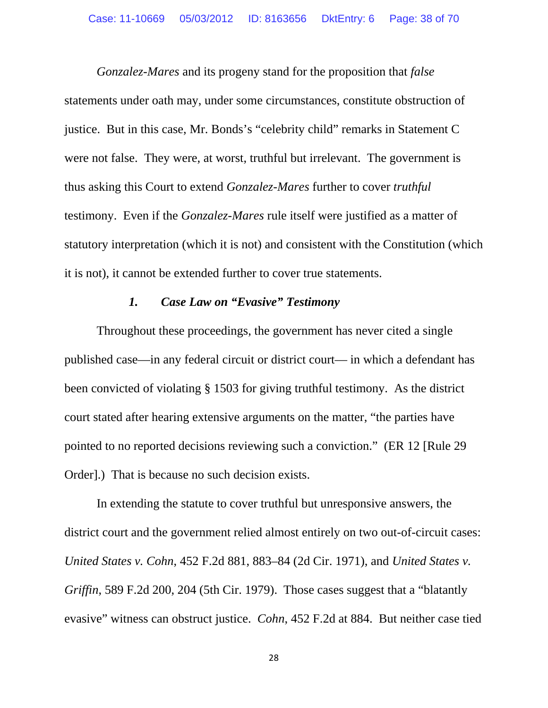*Gonzalez-Mares* and its progeny stand for the proposition that *false* statements under oath may, under some circumstances, constitute obstruction of justice. But in this case, Mr. Bonds's "celebrity child" remarks in Statement C were not false. They were, at worst, truthful but irrelevant. The government is thus asking this Court to extend *Gonzalez-Mares* further to cover *truthful* testimony. Even if the *Gonzalez-Mares* rule itself were justified as a matter of statutory interpretation (which it is not) and consistent with the Constitution (which it is not), it cannot be extended further to cover true statements.

### *1. Case Law on "Evasive" Testimony*

 Throughout these proceedings, the government has never cited a single published case—in any federal circuit or district court— in which a defendant has been convicted of violating § 1503 for giving truthful testimony. As the district court stated after hearing extensive arguments on the matter, "the parties have pointed to no reported decisions reviewing such a conviction." (ER 12 [Rule 29 Order].) That is because no such decision exists.

 In extending the statute to cover truthful but unresponsive answers, the district court and the government relied almost entirely on two out-of-circuit cases: *United States v. Cohn*, 452 F.2d 881, 883–84 (2d Cir. 1971), and *United States v. Griffin*, 589 F.2d 200, 204 (5th Cir. 1979). Those cases suggest that a "blatantly evasive" witness can obstruct justice. *Cohn*, 452 F.2d at 884. But neither case tied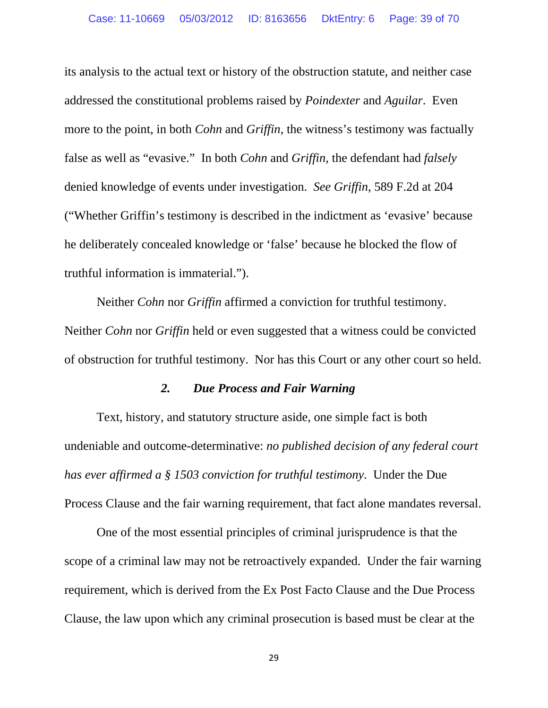its analysis to the actual text or history of the obstruction statute, and neither case addressed the constitutional problems raised by *Poindexter* and *Aguilar*. Even more to the point, in both *Cohn* and *Griffin*, the witness's testimony was factually false as well as "evasive." In both *Cohn* and *Griffin*, the defendant had *falsely* denied knowledge of events under investigation. *See Griffin*, 589 F.2d at 204 ("Whether Griffin's testimony is described in the indictment as 'evasive' because he deliberately concealed knowledge or 'false' because he blocked the flow of truthful information is immaterial.").

 Neither *Cohn* nor *Griffin* affirmed a conviction for truthful testimony. Neither *Cohn* nor *Griffin* held or even suggested that a witness could be convicted of obstruction for truthful testimony. Nor has this Court or any other court so held.

#### *2. Due Process and Fair Warning*

 Text, history, and statutory structure aside, one simple fact is both undeniable and outcome-determinative: *no published decision of any federal court has ever affirmed a § 1503 conviction for truthful testimony*. Under the Due Process Clause and the fair warning requirement, that fact alone mandates reversal.

 One of the most essential principles of criminal jurisprudence is that the scope of a criminal law may not be retroactively expanded. Under the fair warning requirement, which is derived from the Ex Post Facto Clause and the Due Process Clause, the law upon which any criminal prosecution is based must be clear at the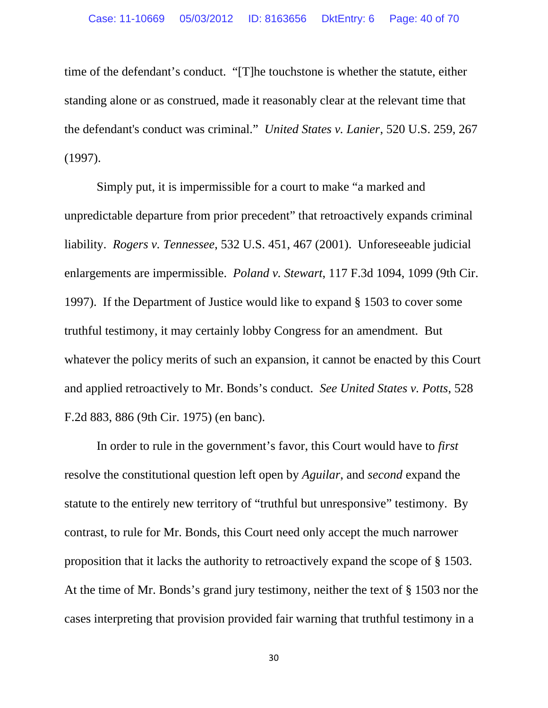time of the defendant's conduct. "[T]he touchstone is whether the statute, either standing alone or as construed, made it reasonably clear at the relevant time that the defendant's conduct was criminal." *United States v. Lanier*, 520 U.S. 259, 267 (1997).

 Simply put, it is impermissible for a court to make "a marked and unpredictable departure from prior precedent" that retroactively expands criminal liability. *Rogers v. Tennessee*, 532 U.S. 451, 467 (2001). Unforeseeable judicial enlargements are impermissible. *Poland v. Stewart*, 117 F.3d 1094, 1099 (9th Cir. 1997). If the Department of Justice would like to expand § 1503 to cover some truthful testimony, it may certainly lobby Congress for an amendment. But whatever the policy merits of such an expansion, it cannot be enacted by this Court and applied retroactively to Mr. Bonds's conduct. *See United States v. Potts*, 528 F.2d 883, 886 (9th Cir. 1975) (en banc).

 In order to rule in the government's favor, this Court would have to *first* resolve the constitutional question left open by *Aguilar*, and *second* expand the statute to the entirely new territory of "truthful but unresponsive" testimony. By contrast, to rule for Mr. Bonds, this Court need only accept the much narrower proposition that it lacks the authority to retroactively expand the scope of § 1503. At the time of Mr. Bonds's grand jury testimony, neither the text of § 1503 nor the cases interpreting that provision provided fair warning that truthful testimony in a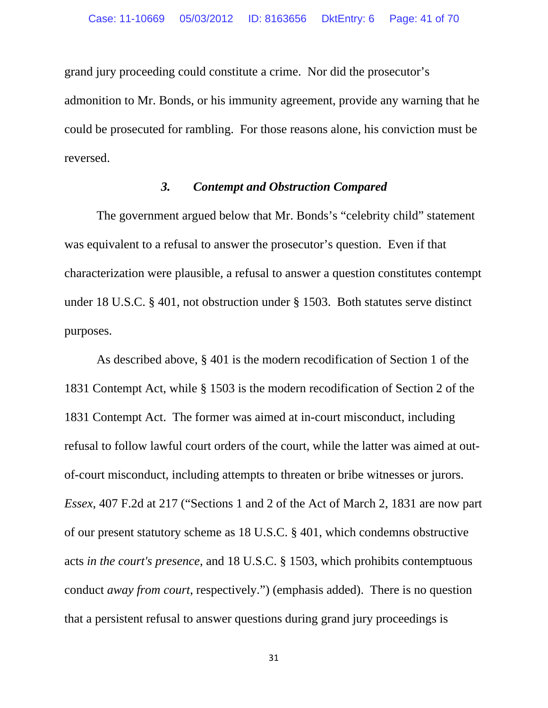grand jury proceeding could constitute a crime. Nor did the prosecutor's admonition to Mr. Bonds, or his immunity agreement, provide any warning that he could be prosecuted for rambling. For those reasons alone, his conviction must be reversed.

#### *3. Contempt and Obstruction Compared*

 The government argued below that Mr. Bonds's "celebrity child" statement was equivalent to a refusal to answer the prosecutor's question. Even if that characterization were plausible, a refusal to answer a question constitutes contempt under 18 U.S.C. § 401, not obstruction under § 1503. Both statutes serve distinct purposes.

 As described above, § 401 is the modern recodification of Section 1 of the 1831 Contempt Act, while § 1503 is the modern recodification of Section 2 of the 1831 Contempt Act. The former was aimed at in-court misconduct, including refusal to follow lawful court orders of the court, while the latter was aimed at outof-court misconduct, including attempts to threaten or bribe witnesses or jurors. *Essex*, 407 F.2d at 217 ("Sections 1 and 2 of the Act of March 2, 1831 are now part of our present statutory scheme as 18 U.S.C. § 401, which condemns obstructive acts *in the court's presence*, and 18 U.S.C. § 1503, which prohibits contemptuous conduct *away from court*, respectively.") (emphasis added). There is no question that a persistent refusal to answer questions during grand jury proceedings is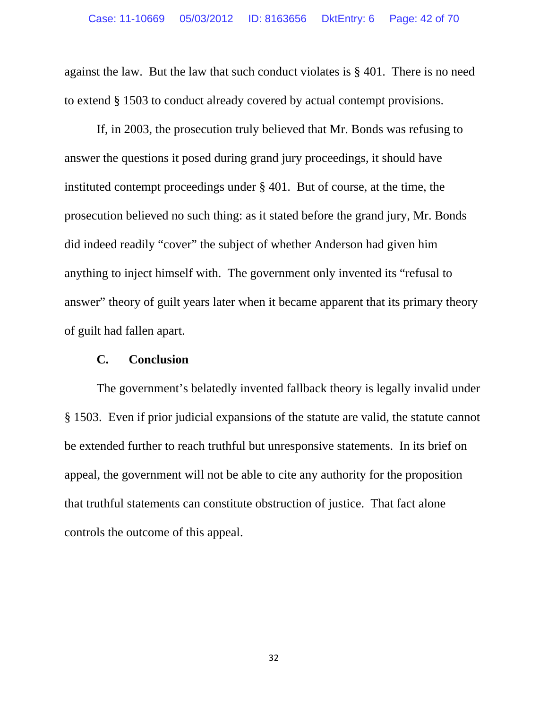against the law. But the law that such conduct violates is § 401. There is no need to extend § 1503 to conduct already covered by actual contempt provisions.

 If, in 2003, the prosecution truly believed that Mr. Bonds was refusing to answer the questions it posed during grand jury proceedings, it should have instituted contempt proceedings under § 401. But of course, at the time, the prosecution believed no such thing: as it stated before the grand jury, Mr. Bonds did indeed readily "cover" the subject of whether Anderson had given him anything to inject himself with. The government only invented its "refusal to answer" theory of guilt years later when it became apparent that its primary theory of guilt had fallen apart.

#### **C. Conclusion**

The government's belatedly invented fallback theory is legally invalid under § 1503. Even if prior judicial expansions of the statute are valid, the statute cannot be extended further to reach truthful but unresponsive statements. In its brief on appeal, the government will not be able to cite any authority for the proposition that truthful statements can constitute obstruction of justice. That fact alone controls the outcome of this appeal.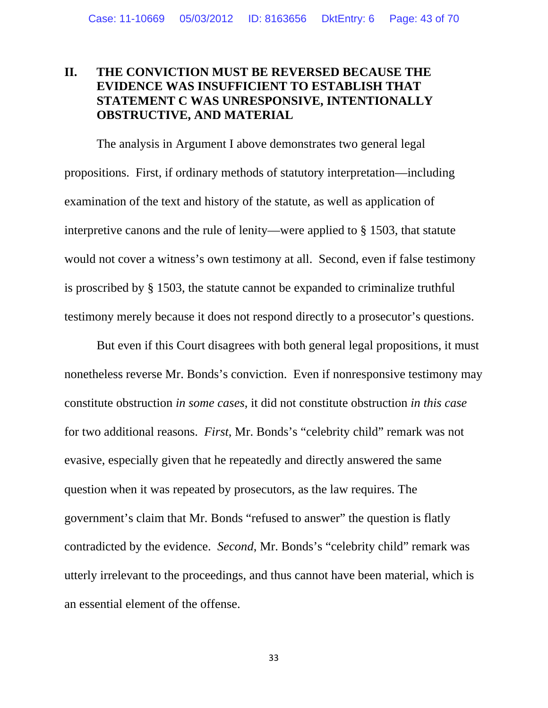## **II. THE CONVICTION MUST BE REVERSED BECAUSE THE EVIDENCE WAS INSUFFICIENT TO ESTABLISH THAT STATEMENT C WAS UNRESPONSIVE, INTENTIONALLY OBSTRUCTIVE, AND MATERIAL**

 The analysis in Argument I above demonstrates two general legal propositions. First, if ordinary methods of statutory interpretation—including examination of the text and history of the statute, as well as application of interpretive canons and the rule of lenity—were applied to § 1503, that statute would not cover a witness's own testimony at all. Second, even if false testimony is proscribed by § 1503, the statute cannot be expanded to criminalize truthful testimony merely because it does not respond directly to a prosecutor's questions.

 But even if this Court disagrees with both general legal propositions, it must nonetheless reverse Mr. Bonds's conviction. Even if nonresponsive testimony may constitute obstruction *in some cases*, it did not constitute obstruction *in this case*  for two additional reasons. *First*, Mr. Bonds's "celebrity child" remark was not evasive, especially given that he repeatedly and directly answered the same question when it was repeated by prosecutors, as the law requires. The government's claim that Mr. Bonds "refused to answer" the question is flatly contradicted by the evidence. *Second*, Mr. Bonds's "celebrity child" remark was utterly irrelevant to the proceedings, and thus cannot have been material, which is an essential element of the offense.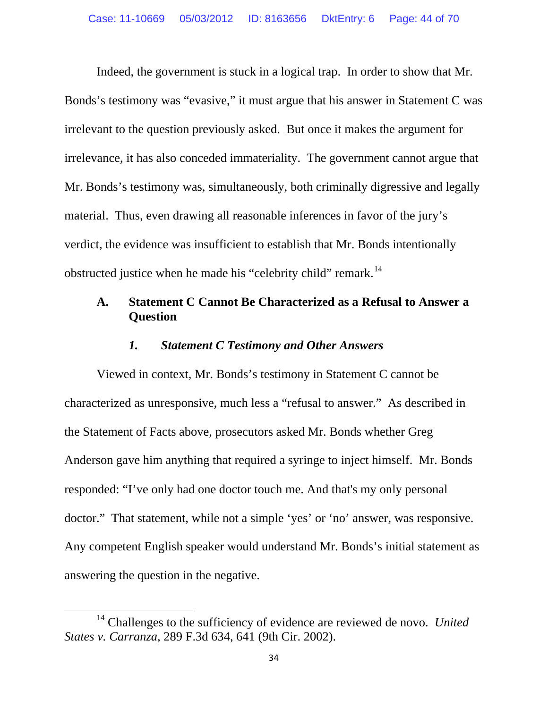Indeed, the government is stuck in a logical trap. In order to show that Mr. Bonds's testimony was "evasive," it must argue that his answer in Statement C was irrelevant to the question previously asked. But once it makes the argument for irrelevance, it has also conceded immateriality. The government cannot argue that Mr. Bonds's testimony was, simultaneously, both criminally digressive and legally material. Thus, even drawing all reasonable inferences in favor of the jury's verdict, the evidence was insufficient to establish that Mr. Bonds intentionally obstructed justice when he made his "celebrity child" remark.<sup>[14](#page-43-0)</sup>

## **A. Statement C Cannot Be Characterized as a Refusal to Answer a Question**

### *1. Statement C Testimony and Other Answers*

 Viewed in context, Mr. Bonds's testimony in Statement C cannot be characterized as unresponsive, much less a "refusal to answer." As described in the Statement of Facts above, prosecutors asked Mr. Bonds whether Greg Anderson gave him anything that required a syringe to inject himself. Mr. Bonds responded: "I've only had one doctor touch me. And that's my only personal doctor." That statement, while not a simple 'yes' or 'no' answer, was responsive. Any competent English speaker would understand Mr. Bonds's initial statement as answering the question in the negative.

<span id="page-43-0"></span> 14 Challenges to the sufficiency of evidence are reviewed de novo. *United States v. Carranza*, 289 F.3d 634, 641 (9th Cir. 2002).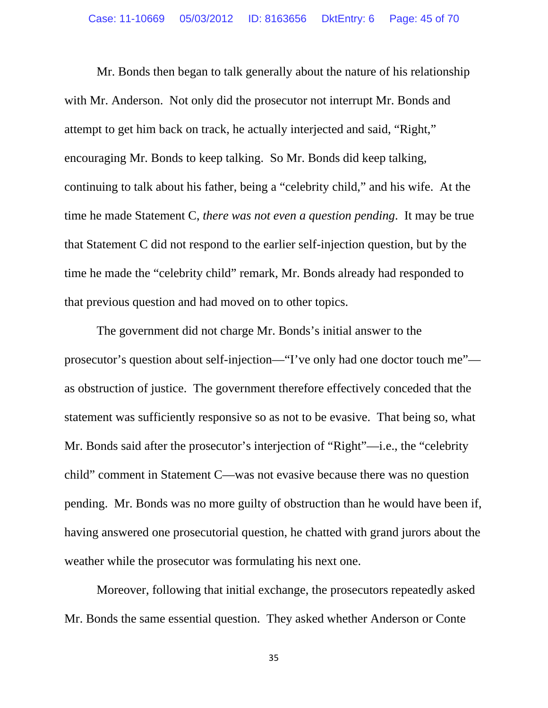Mr. Bonds then began to talk generally about the nature of his relationship with Mr. Anderson. Not only did the prosecutor not interrupt Mr. Bonds and attempt to get him back on track, he actually interjected and said, "Right," encouraging Mr. Bonds to keep talking. So Mr. Bonds did keep talking, continuing to talk about his father, being a "celebrity child," and his wife. At the time he made Statement C, *there was not even a question pending*. It may be true that Statement C did not respond to the earlier self-injection question, but by the time he made the "celebrity child" remark, Mr. Bonds already had responded to that previous question and had moved on to other topics.

 The government did not charge Mr. Bonds's initial answer to the prosecutor's question about self-injection—"I've only had one doctor touch me" as obstruction of justice. The government therefore effectively conceded that the statement was sufficiently responsive so as not to be evasive. That being so, what Mr. Bonds said after the prosecutor's interjection of "Right"—i.e., the "celebrity child" comment in Statement C—was not evasive because there was no question pending. Mr. Bonds was no more guilty of obstruction than he would have been if, having answered one prosecutorial question, he chatted with grand jurors about the weather while the prosecutor was formulating his next one.

 Moreover, following that initial exchange, the prosecutors repeatedly asked Mr. Bonds the same essential question. They asked whether Anderson or Conte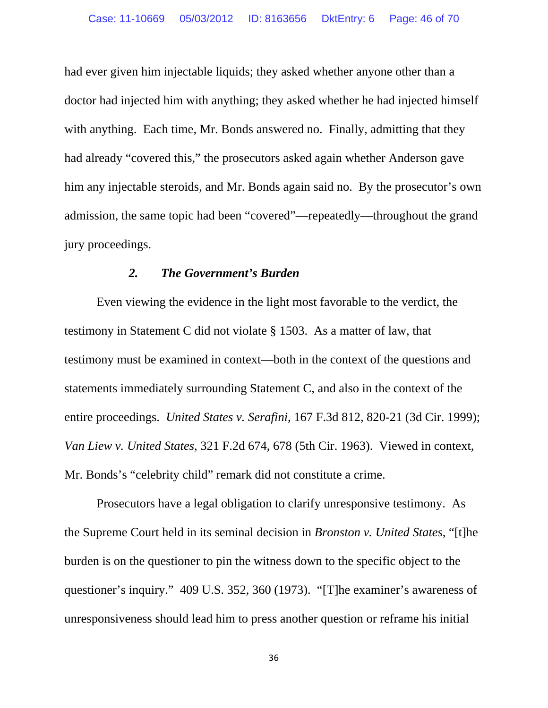had ever given him injectable liquids; they asked whether anyone other than a doctor had injected him with anything; they asked whether he had injected himself with anything. Each time, Mr. Bonds answered no. Finally, admitting that they had already "covered this," the prosecutors asked again whether Anderson gave him any injectable steroids, and Mr. Bonds again said no. By the prosecutor's own admission, the same topic had been "covered"—repeatedly—throughout the grand jury proceedings.

#### *2. The Government's Burden*

 Even viewing the evidence in the light most favorable to the verdict, the testimony in Statement C did not violate § 1503. As a matter of law, that testimony must be examined in context—both in the context of the questions and statements immediately surrounding Statement C, and also in the context of the entire proceedings. *United States v. Serafini*, 167 F.3d 812, 820-21 (3d Cir. 1999); *Van Liew v. United States*, 321 F.2d 674, 678 (5th Cir. 1963). Viewed in context, Mr. Bonds's "celebrity child" remark did not constitute a crime.

 Prosecutors have a legal obligation to clarify unresponsive testimony. As the Supreme Court held in its seminal decision in *Bronston v. United States*, "[t]he burden is on the questioner to pin the witness down to the specific object to the questioner's inquiry." 409 U.S. 352, 360 (1973). "[T]he examiner's awareness of unresponsiveness should lead him to press another question or reframe his initial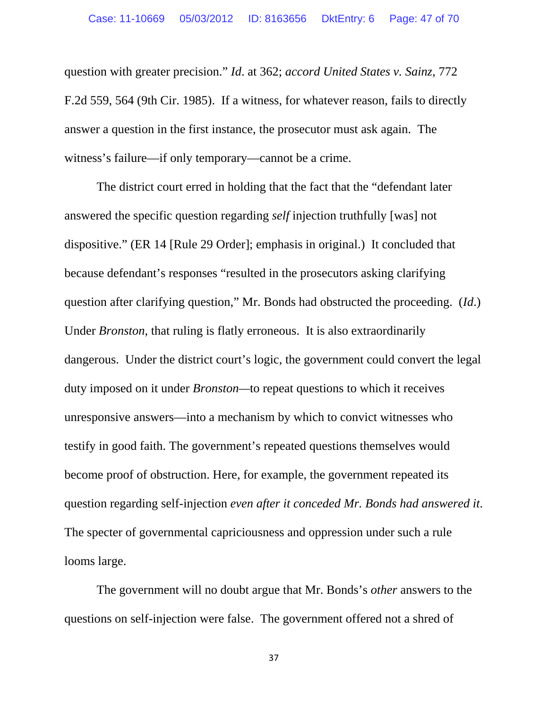question with greater precision." *Id*. at 362; *accord United States v. Sainz*, 772 F.2d 559, 564 (9th Cir. 1985). If a witness, for whatever reason, fails to directly answer a question in the first instance, the prosecutor must ask again. The witness's failure—if only temporary—cannot be a crime.

 The district court erred in holding that the fact that the "defendant later answered the specific question regarding *self* injection truthfully [was] not dispositive." (ER 14 [Rule 29 Order]; emphasis in original.) It concluded that because defendant's responses "resulted in the prosecutors asking clarifying question after clarifying question," Mr. Bonds had obstructed the proceeding. (*Id*.) Under *Bronston*, that ruling is flatly erroneous. It is also extraordinarily dangerous. Under the district court's logic, the government could convert the legal duty imposed on it under *Bronston—*to repeat questions to which it receives unresponsive answers—into a mechanism by which to convict witnesses who testify in good faith. The government's repeated questions themselves would become proof of obstruction. Here, for example, the government repeated its question regarding self-injection *even after it conceded Mr. Bonds had answered it*. The specter of governmental capriciousness and oppression under such a rule looms large.

 The government will no doubt argue that Mr. Bonds's *other* answers to the questions on self-injection were false. The government offered not a shred of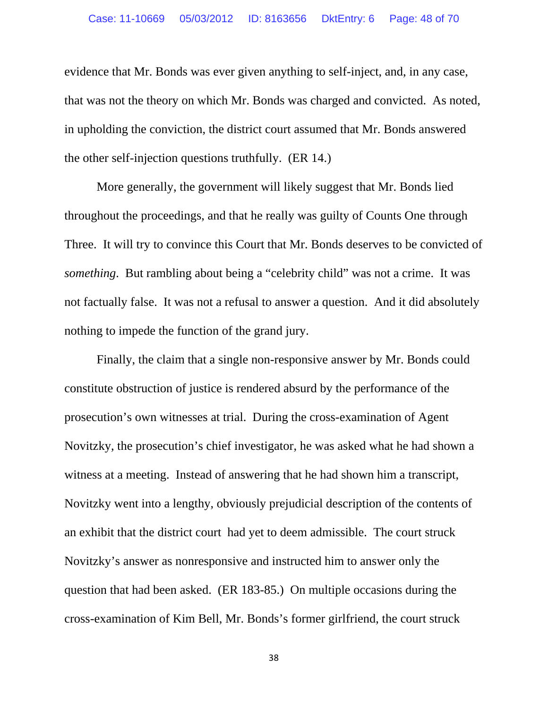evidence that Mr. Bonds was ever given anything to self-inject, and, in any case, that was not the theory on which Mr. Bonds was charged and convicted. As noted, in upholding the conviction, the district court assumed that Mr. Bonds answered the other self-injection questions truthfully. (ER 14.)

More generally, the government will likely suggest that Mr. Bonds lied throughout the proceedings, and that he really was guilty of Counts One through Three. It will try to convince this Court that Mr. Bonds deserves to be convicted of *something*. But rambling about being a "celebrity child" was not a crime. It was not factually false. It was not a refusal to answer a question. And it did absolutely nothing to impede the function of the grand jury.

Finally, the claim that a single non-responsive answer by Mr. Bonds could constitute obstruction of justice is rendered absurd by the performance of the prosecution's own witnesses at trial. During the cross-examination of Agent Novitzky, the prosecution's chief investigator, he was asked what he had shown a witness at a meeting. Instead of answering that he had shown him a transcript, Novitzky went into a lengthy, obviously prejudicial description of the contents of an exhibit that the district court had yet to deem admissible. The court struck Novitzky's answer as nonresponsive and instructed him to answer only the question that had been asked. (ER 183-85.) On multiple occasions during the cross-examination of Kim Bell, Mr. Bonds's former girlfriend, the court struck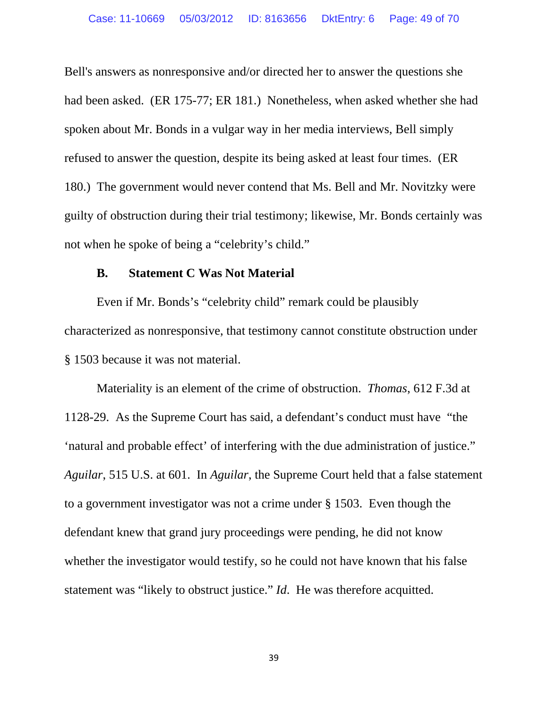Bell's answers as nonresponsive and/or directed her to answer the questions she had been asked. (ER 175-77; ER 181.) Nonetheless, when asked whether she had spoken about Mr. Bonds in a vulgar way in her media interviews, Bell simply refused to answer the question, despite its being asked at least four times. (ER 180.) The government would never contend that Ms. Bell and Mr. Novitzky were guilty of obstruction during their trial testimony; likewise, Mr. Bonds certainly was not when he spoke of being a "celebrity's child."

### **B. Statement C Was Not Material**

 Even if Mr. Bonds's "celebrity child" remark could be plausibly characterized as nonresponsive, that testimony cannot constitute obstruction under § 1503 because it was not material.

 Materiality is an element of the crime of obstruction. *Thomas*, 612 F.3d at 1128-29. As the Supreme Court has said, a defendant's conduct must have "the 'natural and probable effect' of interfering with the due administration of justice." *Aguilar*, 515 U.S. at 601. In *Aguilar*, the Supreme Court held that a false statement to a government investigator was not a crime under § 1503. Even though the defendant knew that grand jury proceedings were pending, he did not know whether the investigator would testify, so he could not have known that his false statement was "likely to obstruct justice." *Id*. He was therefore acquitted.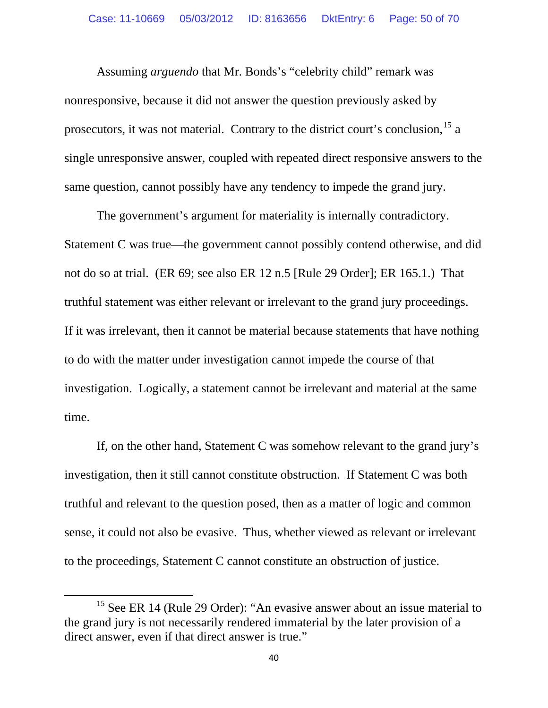Assuming *arguendo* that Mr. Bonds's "celebrity child" remark was nonresponsive, because it did not answer the question previously asked by prosecutors, it was not material. Contrary to the district court's conclusion,<sup>[15](#page-49-0)</sup> a single unresponsive answer, coupled with repeated direct responsive answers to the same question, cannot possibly have any tendency to impede the grand jury.

 The government's argument for materiality is internally contradictory. Statement C was true—the government cannot possibly contend otherwise, and did not do so at trial. (ER 69; see also ER 12 n.5 [Rule 29 Order]; ER 165.1.) That truthful statement was either relevant or irrelevant to the grand jury proceedings. If it was irrelevant, then it cannot be material because statements that have nothing to do with the matter under investigation cannot impede the course of that investigation. Logically, a statement cannot be irrelevant and material at the same time.

If, on the other hand, Statement C was somehow relevant to the grand jury's investigation, then it still cannot constitute obstruction. If Statement C was both truthful and relevant to the question posed, then as a matter of logic and common sense, it could not also be evasive. Thus, whether viewed as relevant or irrelevant to the proceedings, Statement C cannot constitute an obstruction of justice.

<span id="page-49-0"></span><sup>&</sup>lt;sup>15</sup> See ER 14 (Rule 29 Order): "An evasive answer about an issue material to the grand jury is not necessarily rendered immaterial by the later provision of a direct answer, even if that direct answer is true."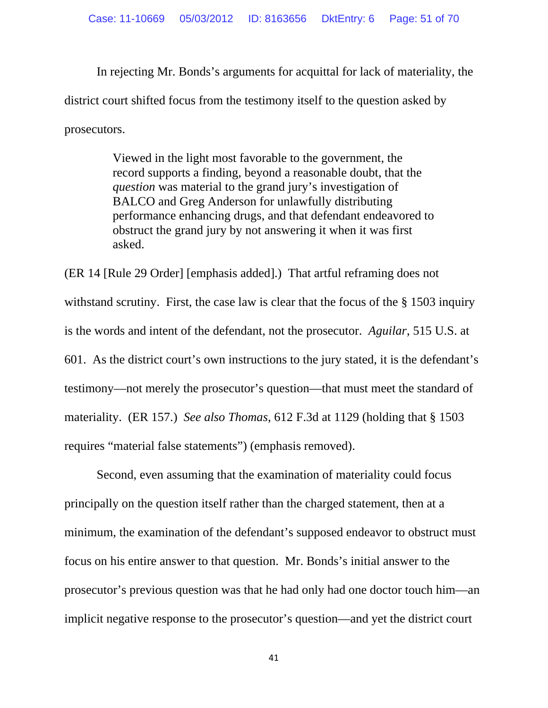In rejecting Mr. Bonds's arguments for acquittal for lack of materiality, the district court shifted focus from the testimony itself to the question asked by prosecutors.

> Viewed in the light most favorable to the government, the record supports a finding, beyond a reasonable doubt, that the *question* was material to the grand jury's investigation of BALCO and Greg Anderson for unlawfully distributing performance enhancing drugs, and that defendant endeavored to obstruct the grand jury by not answering it when it was first asked.

(ER 14 [Rule 29 Order] [emphasis added].) That artful reframing does not withstand scrutiny. First, the case law is clear that the focus of the § 1503 inquiry is the words and intent of the defendant, not the prosecutor. *Aguilar*, 515 U.S. at 601. As the district court's own instructions to the jury stated, it is the defendant's testimony—not merely the prosecutor's question—that must meet the standard of materiality. (ER 157.) *See also Thomas*, 612 F.3d at 1129 (holding that § 1503 requires "material false statements") (emphasis removed).

 Second, even assuming that the examination of materiality could focus principally on the question itself rather than the charged statement, then at a minimum, the examination of the defendant's supposed endeavor to obstruct must focus on his entire answer to that question. Mr. Bonds's initial answer to the prosecutor's previous question was that he had only had one doctor touch him—an implicit negative response to the prosecutor's question—and yet the district court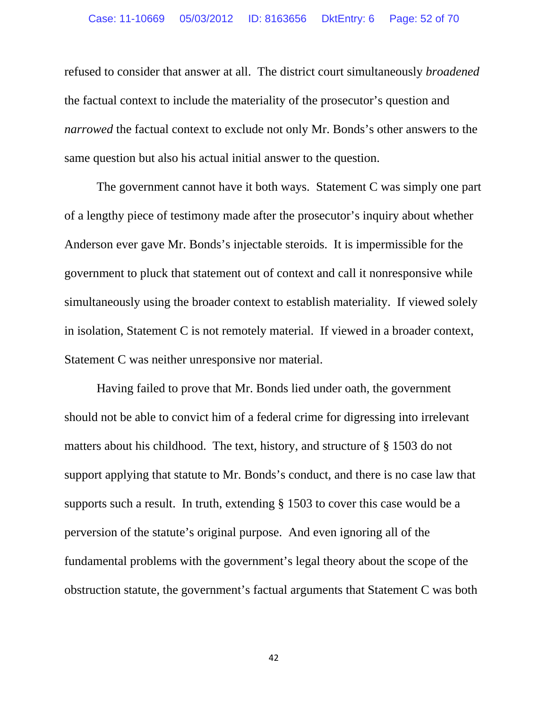refused to consider that answer at all. The district court simultaneously *broadened* the factual context to include the materiality of the prosecutor's question and *narrowed* the factual context to exclude not only Mr. Bonds's other answers to the same question but also his actual initial answer to the question.

 The government cannot have it both ways. Statement C was simply one part of a lengthy piece of testimony made after the prosecutor's inquiry about whether Anderson ever gave Mr. Bonds's injectable steroids. It is impermissible for the government to pluck that statement out of context and call it nonresponsive while simultaneously using the broader context to establish materiality. If viewed solely in isolation, Statement C is not remotely material. If viewed in a broader context, Statement C was neither unresponsive nor material.

 Having failed to prove that Mr. Bonds lied under oath, the government should not be able to convict him of a federal crime for digressing into irrelevant matters about his childhood. The text, history, and structure of § 1503 do not support applying that statute to Mr. Bonds's conduct, and there is no case law that supports such a result. In truth, extending § 1503 to cover this case would be a perversion of the statute's original purpose. And even ignoring all of the fundamental problems with the government's legal theory about the scope of the obstruction statute, the government's factual arguments that Statement C was both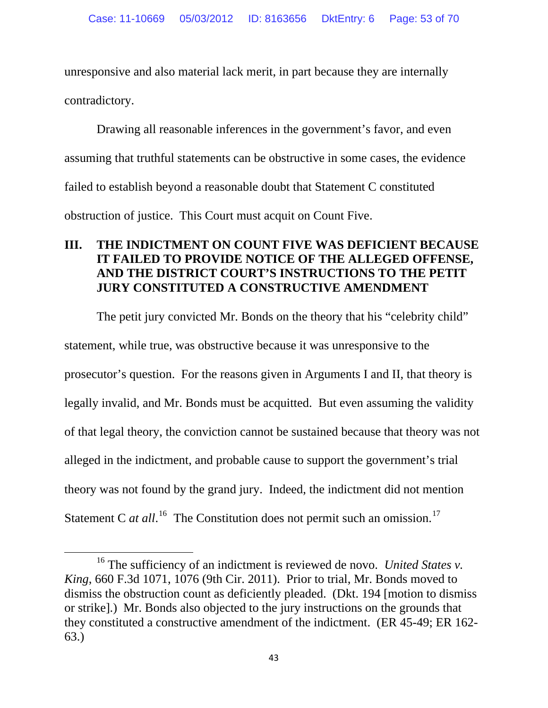unresponsive and also material lack merit, in part because they are internally contradictory.

Drawing all reasonable inferences in the government's favor, and even assuming that truthful statements can be obstructive in some cases, the evidence failed to establish beyond a reasonable doubt that Statement C constituted obstruction of justice. This Court must acquit on Count Five.

## **III. THE INDICTMENT ON COUNT FIVE WAS DEFICIENT BECAUSE IT FAILED TO PROVIDE NOTICE OF THE ALLEGED OFFENSE, AND THE DISTRICT COURT'S INSTRUCTIONS TO THE PETIT JURY CONSTITUTED A CONSTRUCTIVE AMENDMENT**

The petit jury convicted Mr. Bonds on the theory that his "celebrity child" statement, while true, was obstructive because it was unresponsive to the prosecutor's question. For the reasons given in Arguments I and II, that theory is legally invalid, and Mr. Bonds must be acquitted. But even assuming the validity of that legal theory, the conviction cannot be sustained because that theory was not alleged in the indictment, and probable cause to support the government's trial theory was not found by the grand jury. Indeed, the indictment did not mention Statement C *at all*.<sup>[16](#page-52-0)</sup> The Constitution does not permit such an omission.<sup>[17](#page-52-1)</sup>

<span id="page-52-1"></span><span id="page-52-0"></span> 16 The sufficiency of an indictment is reviewed de novo. *United States v. King*, 660 F.3d 1071, 1076 (9th Cir. 2011). Prior to trial, Mr. Bonds moved to dismiss the obstruction count as deficiently pleaded. (Dkt. 194 [motion to dismiss or strike].) Mr. Bonds also objected to the jury instructions on the grounds that they constituted a constructive amendment of the indictment. (ER 45-49; ER 162- 63.)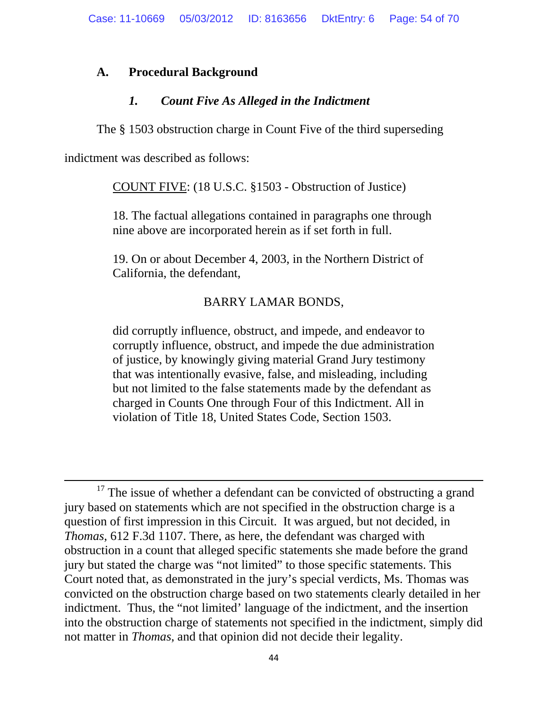## **A. Procedural Background**

## *1. Count Five As Alleged in the Indictment*

The § 1503 obstruction charge in Count Five of the third superseding

indictment was described as follows:

COUNT FIVE: (18 U.S.C. §1503 - Obstruction of Justice)

18. The factual allegations contained in paragraphs one through nine above are incorporated herein as if set forth in full.

19. On or about December 4, 2003, in the Northern District of California, the defendant,

## BARRY LAMAR BONDS,

did corruptly influence, obstruct, and impede, and endeavor to corruptly influence, obstruct, and impede the due administration of justice, by knowingly giving material Grand Jury testimony that was intentionally evasive, false, and misleading, including but not limited to the false statements made by the defendant as charged in Counts One through Four of this Indictment. All in violation of Title 18, United States Code, Section 1503.

 $17$  The issue of whether a defendant can be convicted of obstructing a grand jury based on statements which are not specified in the obstruction charge is a question of first impression in this Circuit. It was argued, but not decided, in *Thomas*, 612 F.3d 1107. There, as here, the defendant was charged with obstruction in a count that alleged specific statements she made before the grand jury but stated the charge was "not limited" to those specific statements. This Court noted that, as demonstrated in the jury's special verdicts, Ms. Thomas was convicted on the obstruction charge based on two statements clearly detailed in her indictment. Thus, the "not limited' language of the indictment, and the insertion into the obstruction charge of statements not specified in the indictment, simply did not matter in *Thomas*, and that opinion did not decide their legality.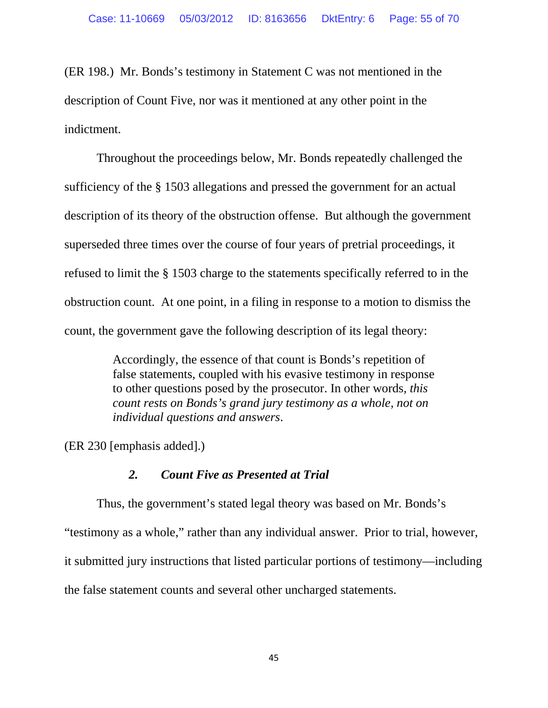(ER 198.) Mr. Bonds's testimony in Statement C was not mentioned in the description of Count Five, nor was it mentioned at any other point in the indictment.

 Throughout the proceedings below, Mr. Bonds repeatedly challenged the sufficiency of the § 1503 allegations and pressed the government for an actual description of its theory of the obstruction offense. But although the government superseded three times over the course of four years of pretrial proceedings, it refused to limit the § 1503 charge to the statements specifically referred to in the obstruction count. At one point, in a filing in response to a motion to dismiss the count, the government gave the following description of its legal theory:

> Accordingly, the essence of that count is Bonds's repetition of false statements, coupled with his evasive testimony in response to other questions posed by the prosecutor. In other words*, this count rests on Bonds's grand jury testimony as a whole, not on individual questions and answers*.

(ER 230 [emphasis added].)

## *2. Count Five as Presented at Trial*

 Thus, the government's stated legal theory was based on Mr. Bonds's "testimony as a whole," rather than any individual answer. Prior to trial, however, it submitted jury instructions that listed particular portions of testimony—including the false statement counts and several other uncharged statements.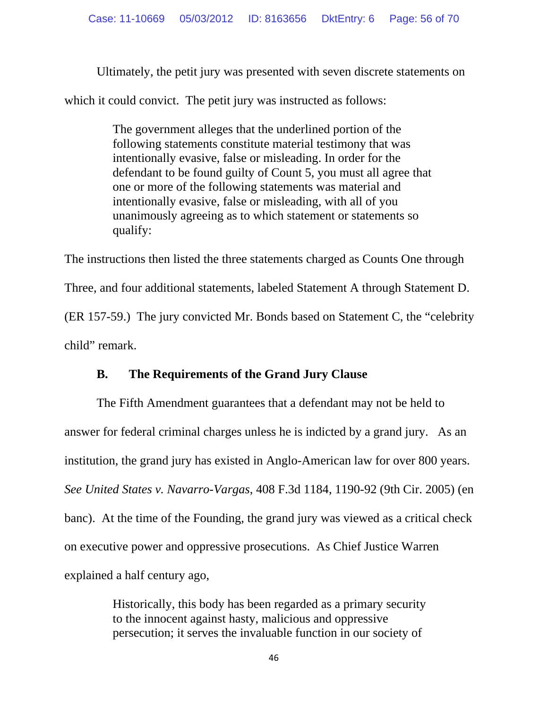Ultimately, the petit jury was presented with seven discrete statements on

which it could convict. The petit jury was instructed as follows:

The government alleges that the underlined portion of the following statements constitute material testimony that was intentionally evasive, false or misleading. In order for the defendant to be found guilty of Count 5, you must all agree that one or more of the following statements was material and intentionally evasive, false or misleading, with all of you unanimously agreeing as to which statement or statements so qualify:

The instructions then listed the three statements charged as Counts One through Three, and four additional statements, labeled Statement A through Statement D. (ER 157-59.) The jury convicted Mr. Bonds based on Statement C, the "celebrity child" remark.

## **B. The Requirements of the Grand Jury Clause**

 The Fifth Amendment guarantees that a defendant may not be held to answer for federal criminal charges unless he is indicted by a grand jury. As an institution, the grand jury has existed in Anglo-American law for over 800 years. *See United States v. Navarro-Vargas*, 408 F.3d 1184, 1190-92 (9th Cir. 2005) (en banc). At the time of the Founding, the grand jury was viewed as a critical check on executive power and oppressive prosecutions. As Chief Justice Warren explained a half century ago,

> Historically, this body has been regarded as a primary security to the innocent against hasty, malicious and oppressive persecution; it serves the invaluable function in our society of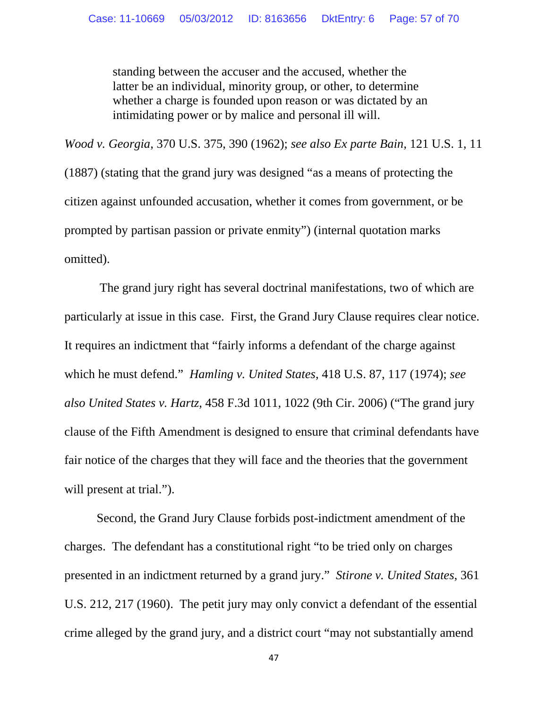standing between the accuser and the accused, whether the latter be an individual, minority group, or other, to determine whether a charge is founded upon reason or was dictated by an intimidating power or by malice and personal ill will.

*Wood v. Georgia*, 370 U.S. 375, 390 (1962); *see also Ex parte Bain*, 121 U.S. 1, 11 (1887) (stating that the grand jury was designed "as a means of protecting the citizen against unfounded accusation, whether it comes from government, or be prompted by partisan passion or private enmity") (internal quotation marks omitted).

 The grand jury right has several doctrinal manifestations, two of which are particularly at issue in this case. First, the Grand Jury Clause requires clear notice. It requires an indictment that "fairly informs a defendant of the charge against which he must defend." *Hamling v. United States*, 418 U.S. 87, 117 (1974); *see also United States v. Hartz*, 458 F.3d 1011, 1022 (9th Cir. 2006) ("The grand jury clause of the Fifth Amendment is designed to ensure that criminal defendants have fair notice of the charges that they will face and the theories that the government will present at trial.").

 Second, the Grand Jury Clause forbids post-indictment amendment of the charges. The defendant has a constitutional right "to be tried only on charges presented in an indictment returned by a grand jury." *Stirone v. United States*, 361 U.S. 212, 217 (1960). The petit jury may only convict a defendant of the essential crime alleged by the grand jury, and a district court "may not substantially amend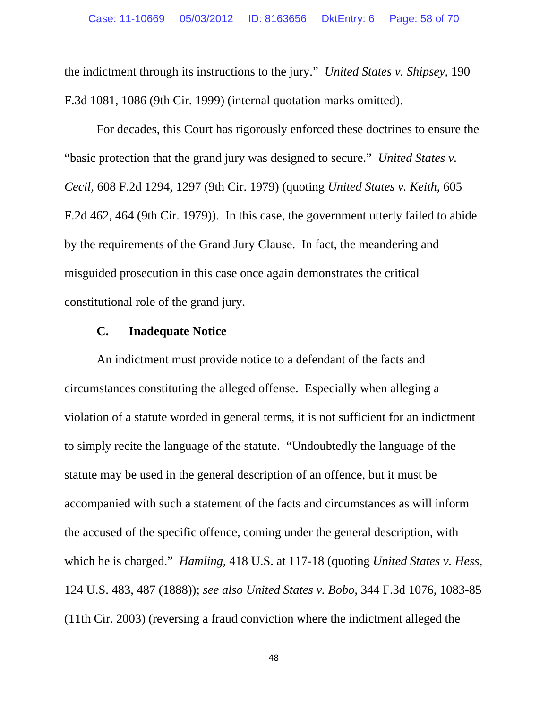the indictment through its instructions to the jury." *United States v. Shipsey*, 190 F.3d 1081, 1086 (9th Cir. 1999) (internal quotation marks omitted).

For decades, this Court has rigorously enforced these doctrines to ensure the "basic protection that the grand jury was designed to secure." *United States v. Cecil*, 608 F.2d 1294, 1297 (9th Cir. 1979) (quoting *United States v. Keith*, 605 F.2d 462, 464 (9th Cir. 1979)). In this case, the government utterly failed to abide by the requirements of the Grand Jury Clause. In fact, the meandering and misguided prosecution in this case once again demonstrates the critical constitutional role of the grand jury.

## **C. Inadequate Notice**

 An indictment must provide notice to a defendant of the facts and circumstances constituting the alleged offense. Especially when alleging a violation of a statute worded in general terms, it is not sufficient for an indictment to simply recite the language of the statute. "Undoubtedly the language of the statute may be used in the general description of an offence, but it must be accompanied with such a statement of the facts and circumstances as will inform the accused of the specific offence, coming under the general description, with which he is charged." *Hamling*, 418 U.S. at 117-18 (quoting *United States v. Hess*, 124 U.S. 483, 487 (1888)); *see also United States v. Bobo*, 344 F.3d 1076, 1083-85 (11th Cir. 2003) (reversing a fraud conviction where the indictment alleged the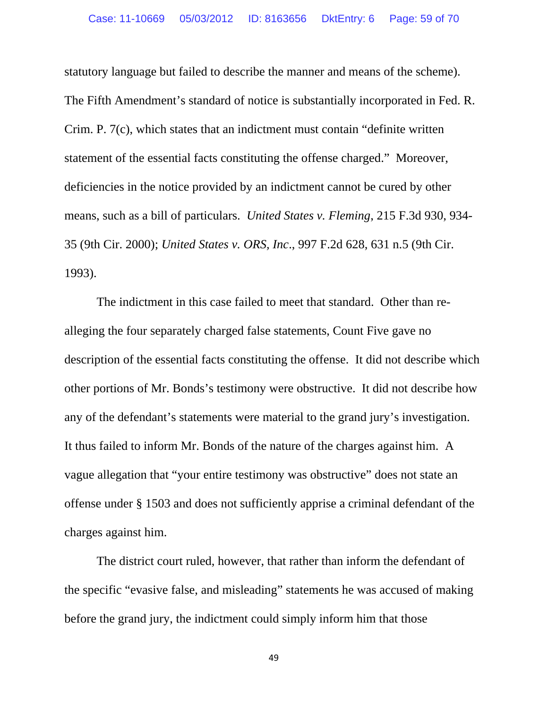statutory language but failed to describe the manner and means of the scheme). The Fifth Amendment's standard of notice is substantially incorporated in Fed. R. Crim. P. 7(c), which states that an indictment must contain "definite written statement of the essential facts constituting the offense charged." Moreover, deficiencies in the notice provided by an indictment cannot be cured by other means, such as a bill of particulars. *United States v. Fleming*, 215 F.3d 930, 934- 35 (9th Cir. 2000); *United States v. ORS, Inc*., 997 F.2d 628, 631 n.5 (9th Cir. 1993).

 The indictment in this case failed to meet that standard. Other than realleging the four separately charged false statements, Count Five gave no description of the essential facts constituting the offense. It did not describe which other portions of Mr. Bonds's testimony were obstructive. It did not describe how any of the defendant's statements were material to the grand jury's investigation. It thus failed to inform Mr. Bonds of the nature of the charges against him. A vague allegation that "your entire testimony was obstructive" does not state an offense under § 1503 and does not sufficiently apprise a criminal defendant of the charges against him.

The district court ruled, however, that rather than inform the defendant of the specific "evasive false, and misleading" statements he was accused of making before the grand jury, the indictment could simply inform him that those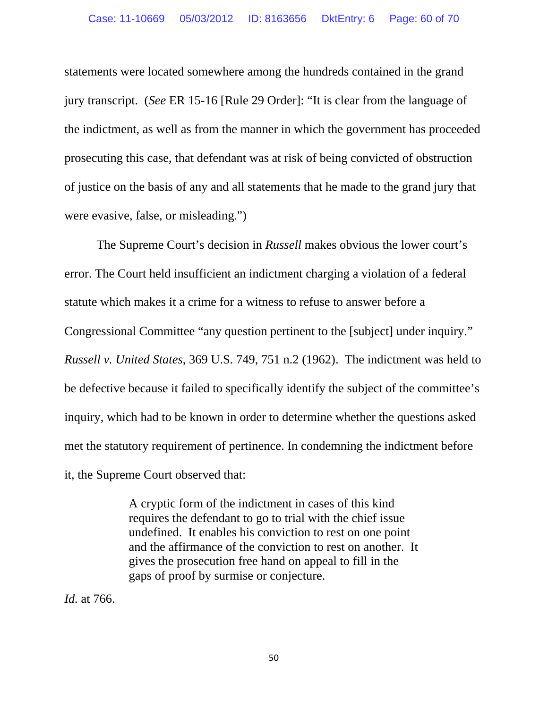statements were located somewhere among the hundreds contained in the grand jury transcript. (*See* ER 15-16 [Rule 29 Order]: "It is clear from the language of the indictment, as well as from the manner in which the government has proceeded prosecuting this case, that defendant was at risk of being convicted of obstruction of justice on the basis of any and all statements that he made to the grand jury that were evasive, false, or misleading.")

The Supreme Court's decision in *Russell* makes obvious the lower court's error. The Court held insufficient an indictment charging a violation of a federal statute which makes it a crime for a witness to refuse to answer before a Congressional Committee "any question pertinent to the [subject] under inquiry." *Russell v. United States*, 369 U.S. 749, 751 n.2 (1962). The indictment was held to be defective because it failed to specifically identify the subject of the committee's inquiry, which had to be known in order to determine whether the questions asked met the statutory requirement of pertinence. In condemning the indictment before it, the Supreme Court observed that:

> A cryptic form of the indictment in cases of this kind requires the defendant to go to trial with the chief issue undefined. It enables his conviction to rest on one point and the affirmance of the conviction to rest on another. It gives the prosecution free hand on appeal to fill in the gaps of proof by surmise or conjecture.

*Id.* at 766.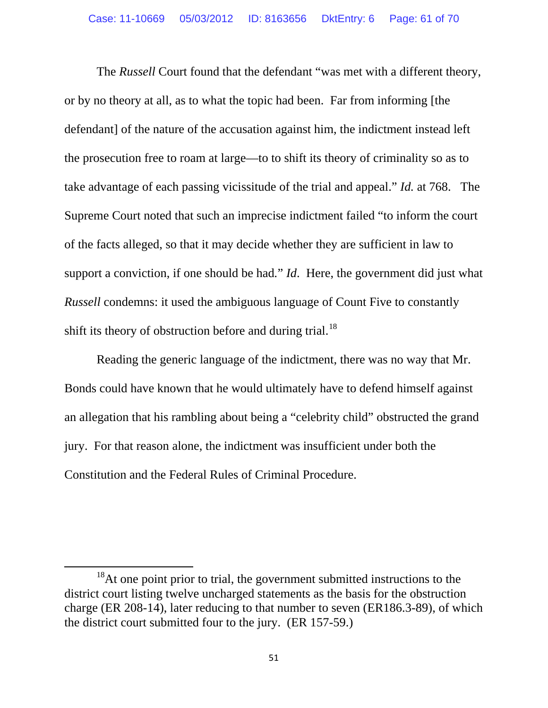The *Russell* Court found that the defendant "was met with a different theory, or by no theory at all, as to what the topic had been. Far from informing [the defendant] of the nature of the accusation against him, the indictment instead left the prosecution free to roam at large—to to shift its theory of criminality so as to take advantage of each passing vicissitude of the trial and appeal." *Id.* at 768. The Supreme Court noted that such an imprecise indictment failed "to inform the court of the facts alleged, so that it may decide whether they are sufficient in law to support a conviction, if one should be had*.*" *Id*. Here, the government did just what *Russell* condemns: it used the ambiguous language of Count Five to constantly shift its theory of obstruction before and during trial.<sup>[18](#page-60-0)</sup>

 Reading the generic language of the indictment, there was no way that Mr. Bonds could have known that he would ultimately have to defend himself against an allegation that his rambling about being a "celebrity child" obstructed the grand jury. For that reason alone, the indictment was insufficient under both the Constitution and the Federal Rules of Criminal Procedure.

<span id="page-60-0"></span> $18$ At one point prior to trial, the government submitted instructions to the district court listing twelve uncharged statements as the basis for the obstruction charge (ER 208-14), later reducing to that number to seven (ER186.3-89), of which the district court submitted four to the jury. (ER 157-59.)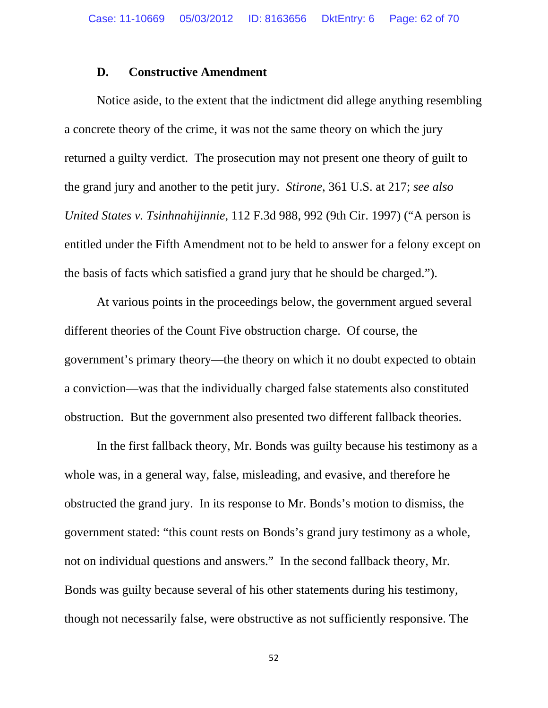#### **D. Constructive Amendment**

 Notice aside, to the extent that the indictment did allege anything resembling a concrete theory of the crime, it was not the same theory on which the jury returned a guilty verdict. The prosecution may not present one theory of guilt to the grand jury and another to the petit jury. *Stirone*, 361 U.S. at 217; *see also United States v. Tsinhnahijinnie*, 112 F.3d 988, 992 (9th Cir. 1997) ("A person is entitled under the Fifth Amendment not to be held to answer for a felony except on the basis of facts which satisfied a grand jury that he should be charged.").

 At various points in the proceedings below, the government argued several different theories of the Count Five obstruction charge. Of course, the government's primary theory—the theory on which it no doubt expected to obtain a conviction—was that the individually charged false statements also constituted obstruction. But the government also presented two different fallback theories.

 In the first fallback theory, Mr. Bonds was guilty because his testimony as a whole was, in a general way, false, misleading, and evasive, and therefore he obstructed the grand jury. In its response to Mr. Bonds's motion to dismiss, the government stated: "this count rests on Bonds's grand jury testimony as a whole, not on individual questions and answers." In the second fallback theory, Mr. Bonds was guilty because several of his other statements during his testimony, though not necessarily false, were obstructive as not sufficiently responsive. The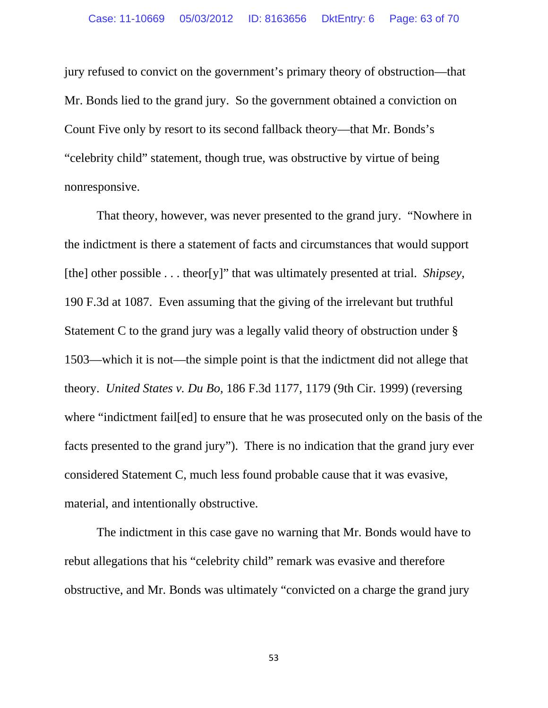jury refused to convict on the government's primary theory of obstruction—that Mr. Bonds lied to the grand jury. So the government obtained a conviction on Count Five only by resort to its second fallback theory—that Mr. Bonds's "celebrity child" statement, though true, was obstructive by virtue of being nonresponsive.

 That theory, however, was never presented to the grand jury. "Nowhere in the indictment is there a statement of facts and circumstances that would support [the] other possible . . . theor[y]" that was ultimately presented at trial. *Shipsey*, 190 F.3d at 1087. Even assuming that the giving of the irrelevant but truthful Statement C to the grand jury was a legally valid theory of obstruction under § 1503—which it is not—the simple point is that the indictment did not allege that theory. *United States v. Du Bo*, 186 F.3d 1177, 1179 (9th Cir. 1999) (reversing where "indictment fail[ed] to ensure that he was prosecuted only on the basis of the facts presented to the grand jury"). There is no indication that the grand jury ever considered Statement C, much less found probable cause that it was evasive, material, and intentionally obstructive.

 The indictment in this case gave no warning that Mr. Bonds would have to rebut allegations that his "celebrity child" remark was evasive and therefore obstructive, and Mr. Bonds was ultimately "convicted on a charge the grand jury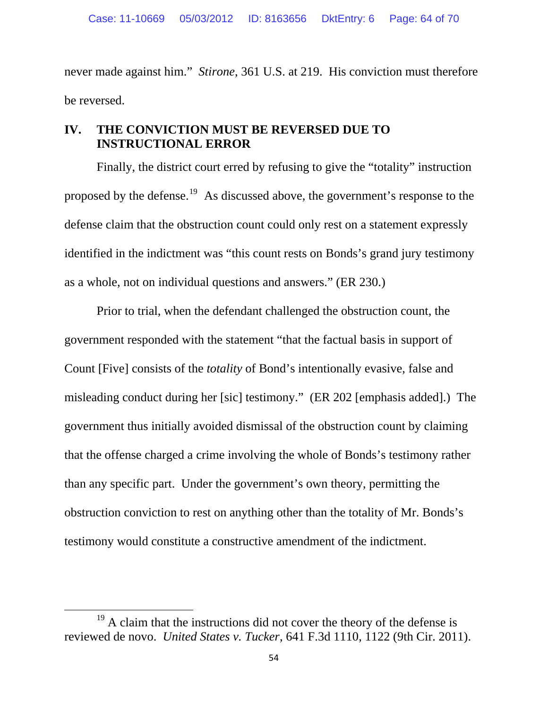never made against him." *Stirone*, 361 U.S. at 219. His conviction must therefore be reversed.

## **IV. THE CONVICTION MUST BE REVERSED DUE TO INSTRUCTIONAL ERROR**

 Finally, the district court erred by refusing to give the "totality" instruction proposed by the defense.[19](#page-63-0) As discussed above, the government's response to the defense claim that the obstruction count could only rest on a statement expressly identified in the indictment was "this count rests on Bonds's grand jury testimony as a whole, not on individual questions and answers." (ER 230.)

 Prior to trial, when the defendant challenged the obstruction count, the government responded with the statement "that the factual basis in support of Count [Five] consists of the *totality* of Bond's intentionally evasive, false and misleading conduct during her [sic] testimony." (ER 202 [emphasis added].) The government thus initially avoided dismissal of the obstruction count by claiming that the offense charged a crime involving the whole of Bonds's testimony rather than any specific part. Under the government's own theory, permitting the obstruction conviction to rest on anything other than the totality of Mr. Bonds's testimony would constitute a constructive amendment of the indictment.

<span id="page-63-0"></span> $19$  A claim that the instructions did not cover the theory of the defense is reviewed de novo. *United States v. Tucker*, 641 F.3d 1110, 1122 (9th Cir. 2011).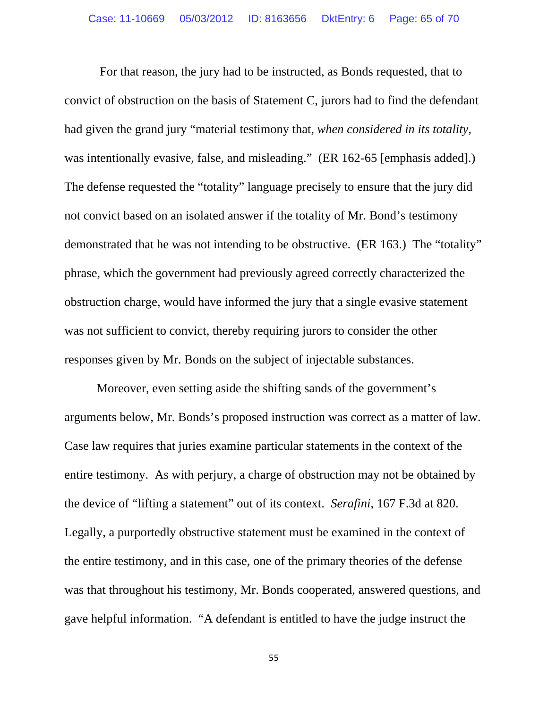For that reason, the jury had to be instructed, as Bonds requested, that to convict of obstruction on the basis of Statement C, jurors had to find the defendant had given the grand jury "material testimony that, *when considered in its totality*, was intentionally evasive, false, and misleading." (ER 162-65 [emphasis added].) The defense requested the "totality" language precisely to ensure that the jury did not convict based on an isolated answer if the totality of Mr. Bond's testimony demonstrated that he was not intending to be obstructive. (ER 163.) The "totality" phrase, which the government had previously agreed correctly characterized the obstruction charge, would have informed the jury that a single evasive statement was not sufficient to convict, thereby requiring jurors to consider the other responses given by Mr. Bonds on the subject of injectable substances.

 Moreover, even setting aside the shifting sands of the government's arguments below, Mr. Bonds's proposed instruction was correct as a matter of law. Case law requires that juries examine particular statements in the context of the entire testimony. As with perjury, a charge of obstruction may not be obtained by the device of "lifting a statement" out of its context. *Serafini*, 167 F.3d at 820. Legally, a purportedly obstructive statement must be examined in the context of the entire testimony, and in this case, one of the primary theories of the defense was that throughout his testimony, Mr. Bonds cooperated, answered questions, and gave helpful information. "A defendant is entitled to have the judge instruct the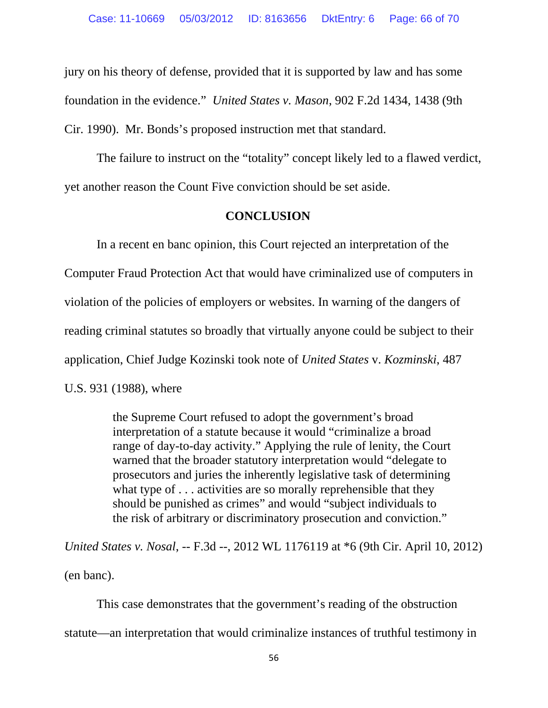jury on his theory of defense, provided that it is supported by law and has some foundation in the evidence." *United States v. Mason*, 902 F.2d 1434, 1438 (9th Cir. 1990). Mr. Bonds's proposed instruction met that standard.

 The failure to instruct on the "totality" concept likely led to a flawed verdict, yet another reason the Count Five conviction should be set aside.

## **CONCLUSION**

In a recent en banc opinion, this Court rejected an interpretation of the Computer Fraud Protection Act that would have criminalized use of computers in violation of the policies of employers or websites. In warning of the dangers of reading criminal statutes so broadly that virtually anyone could be subject to their application, Chief Judge Kozinski took note of *United States* v. *Kozminski*, 487 U.S. 931 (1988), where

> the Supreme Court refused to adopt the government's broad interpretation of a statute because it would "criminalize a broad range of day-to-day activity." Applying the rule of lenity, the Court warned that the broader statutory interpretation would "delegate to prosecutors and juries the inherently legislative task of determining what type of  $\dots$  activities are so morally reprehensible that they should be punished as crimes" and would "subject individuals to the risk of arbitrary or discriminatory prosecution and conviction."

*United States v. Nosal*, -- F.3d --, 2012 WL 1176119 at \*6 (9th Cir. April 10, 2012) (en banc).

This case demonstrates that the government's reading of the obstruction statute—an interpretation that would criminalize instances of truthful testimony in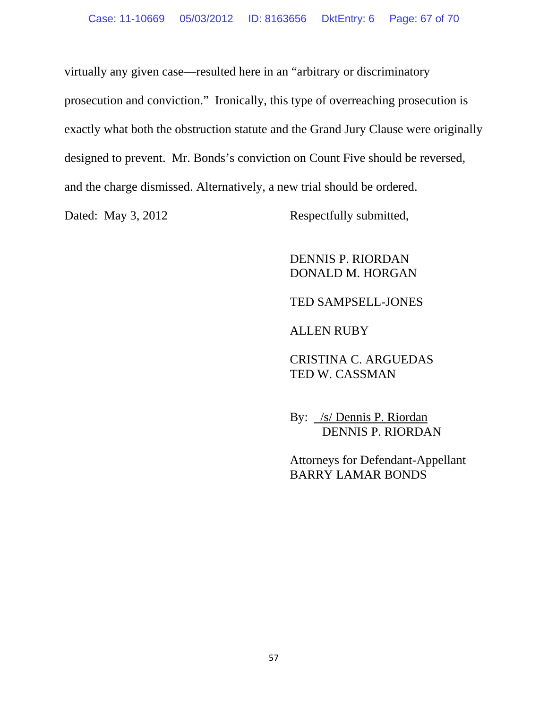virtually any given case—resulted here in an "arbitrary or discriminatory prosecution and conviction." Ironically, this type of overreaching prosecution is exactly what both the obstruction statute and the Grand Jury Clause were originally designed to prevent. Mr. Bonds's conviction on Count Five should be reversed, and the charge dismissed. Alternatively, a new trial should be ordered.

Dated: May 3, 2012 Respectfully submitted,

 DENNIS P. RIORDAN DONALD M. HORGAN

TED SAMPSELL-JONES

ALLEN RUBY

 CRISTINA C. ARGUEDAS TED W. CASSMAN

 By: /s/ Dennis P. Riordan DENNIS P. RIORDAN

 Attorneys for Defendant-Appellant BARRY LAMAR BONDS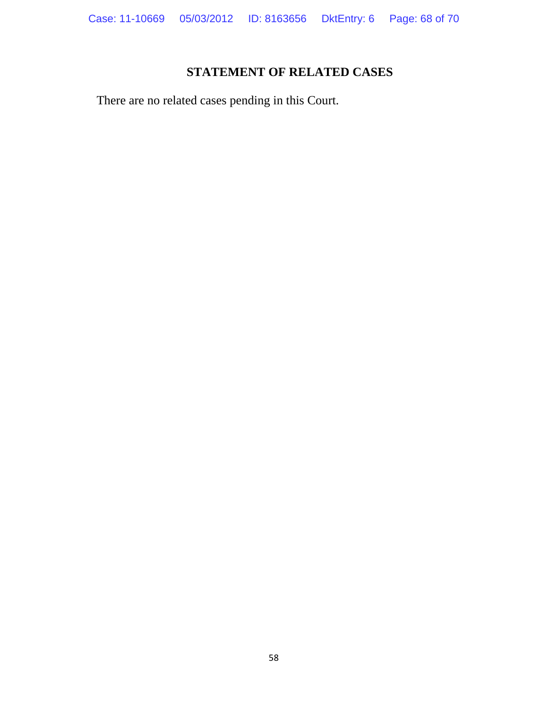# **STATEMENT OF RELATED CASES**

There are no related cases pending in this Court.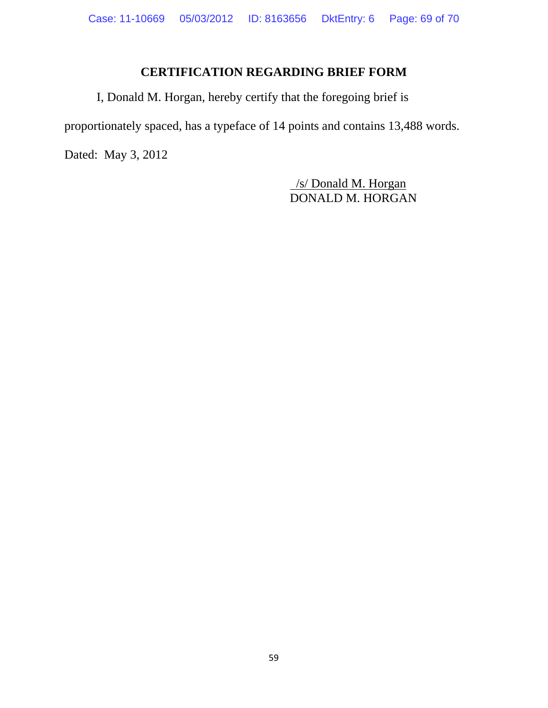# **CERTIFICATION REGARDING BRIEF FORM**

I, Donald M. Horgan, hereby certify that the foregoing brief is

proportionately spaced, has a typeface of 14 points and contains 13,488 words.

Dated: May 3, 2012

 /s/ Donald M. Horgan DONALD M. HORGAN